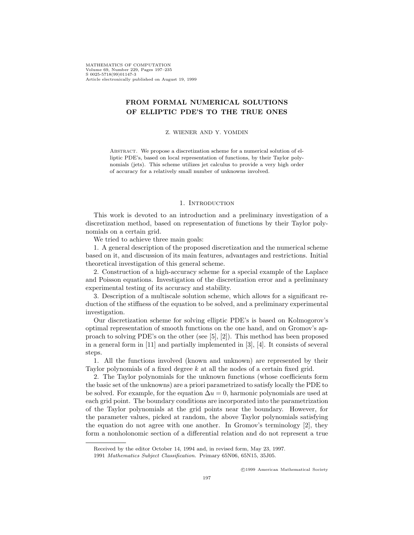## **FROM FORMAL NUMERICAL SOLUTIONS OF ELLIPTIC PDE'S TO THE TRUE ONES**

#### Z. WIENER AND Y. YOMDIN

ABSTRACT. We propose a discretization scheme for a numerical solution of elliptic PDE's, based on local representation of functions, by their Taylor polynomials (jets). This scheme utilizes jet calculus to provide a very high order of accuracy for a relatively small number of unknowns involved.

#### 1. INTRODUCTION

This work is devoted to an introduction and a preliminary investigation of a discretization method, based on representation of functions by their Taylor polynomials on a certain grid.

We tried to achieve three main goals:

1. A general description of the proposed discretization and the numerical scheme based on it, and discussion of its main features, advantages and restrictions. Initial theoretical investigation of this general scheme.

2. Construction of a high-accuracy scheme for a special example of the Laplace and Poisson equations. Investigation of the discretization error and a preliminary experimental testing of its accuracy and stability.

3. Description of a multiscale solution scheme, which allows for a significant reduction of the stiffness of the equation to be solved, and a preliminary experimental investigation.

Our discretization scheme for solving elliptic PDE's is based on Kolmogorov's optimal representation of smooth functions on the one hand, and on Gromov's approach to solving PDE's on the other (see [5], [2]). This method has been proposed in a general form in [11] and partially implemented in [3], [4]. It consists of several steps.

1. All the functions involved (known and unknown) are represented by their Taylor polynomials of a fixed degree k at all the nodes of a certain fixed grid.

2. The Taylor polynomials for the unknown functions (whose coefficients form the basic set of the unknowns) are a priori parametrized to satisfy locally the PDE to be solved. For example, for the equation  $\Delta u = 0$ , harmonic polynomials are used at each grid point. The boundary conditions are incorporated into the parametrization of the Taylor polynomials at the grid points near the boundary. However, for the parameter values, picked at random, the above Taylor polynomials satisfying the equation do not agree with one another. In Gromov's terminology [2], they form a nonholonomic section of a differential relation and do not represent a true

c 1999 American Mathematical Society

Received by the editor October 14, 1994 and, in revised form, May 23, 1997.

<sup>1991</sup> Mathematics Subject Classification. Primary 65N06, 65N15, 35J05.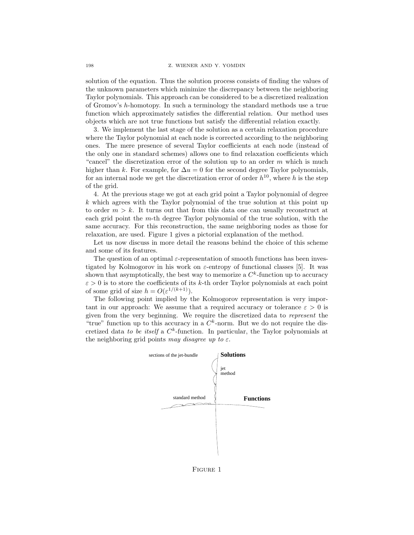solution of the equation. Thus the solution process consists of finding the values of the unknown parameters which minimize the discrepancy between the neighboring Taylor polynomials. This approach can be considered to be a discretized realization of Gromov's h-homotopy. In such a terminology the standard methods use a true function which approximately satisfies the differential relation. Our method uses objects which are not true functions but satisfy the differential relation exactly.

3. We implement the last stage of the solution as a certain relaxation procedure where the Taylor polynomial at each node is corrected according to the neighboring ones. The mere presence of several Taylor coefficients at each node (instead of the only one in standard schemes) allows one to find relaxation coefficients which "cancel" the discretization error of the solution up to an order  $m$  which is much higher than k. For example, for  $\Delta u = 0$  for the second degree Taylor polynomials, for an internal node we get the discretization error of order  $h^{10}$ , where h is the step of the grid.

4. At the previous stage we got at each grid point a Taylor polynomial of degree  $k$  which agrees with the Taylor polynomial of the true solution at this point up to order  $m > k$ . It turns out that from this data one can usually reconstruct at each grid point the m-th degree Taylor polynomial of the true solution, with the same accuracy. For this reconstruction, the same neighboring nodes as those for relaxation, are used. Figure 1 gives a pictorial explanation of the method.

Let us now discuss in more detail the reasons behind the choice of this scheme and some of its features.

The question of an optimal  $\varepsilon$ -representation of smooth functions has been investigated by Kolmogorov in his work on  $\varepsilon$ -entropy of functional classes [5]. It was shown that asymptotically, the best way to memorize a  $C<sup>k</sup>$ -function up to accuracy  $\varepsilon > 0$  is to store the coefficients of its k-th order Taylor polynomials at each point of some grid of size  $h = O(\varepsilon^{1/(k+1)})$ .

The following point implied by the Kolmogorov representation is very important in our approach: We assume that a required accuracy or tolerance  $\varepsilon > 0$  is given from the very beginning. We require the discretized data to *represent* the "true" function up to this accuracy in a  $C<sup>k</sup>$ -norm. But we do not require the discretized data *to be itself* a  $C^k$ -function. In particular, the Taylor polynomials at the neighboring grid points *may disagree up to*  $\varepsilon$ .

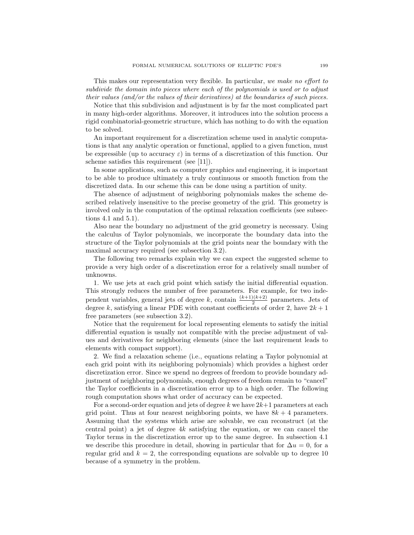This makes our representation very flexible. In particular, *we make no effort to subdivide the domain into pieces where each of the polynomials is used or to adjust their values (and/or the values of their derivatives) at the boundaries of such pieces.*

Notice that this subdivision and adjustment is by far the most complicated part in many high-order algorithms. Moreover, it introduces into the solution process a rigid combinatorial-geometric structure, which has nothing to do with the equation to be solved.

An important requirement for a discretization scheme used in analytic computations is that any analytic operation or functional, applied to a given function, must be expressible (up to accuracy  $\varepsilon$ ) in terms of a discretization of this function. Our scheme satisfies this requirement (see [11]).

In some applications, such as computer graphics and engineering, it is important to be able to produce ultimately a truly continuous or smooth function from the discretized data. In our scheme this can be done using a partition of unity.

The absence of adjustment of neighboring polynomials makes the scheme described relatively insensitive to the precise geometry of the grid. This geometry is involved only in the computation of the optimal relaxation coefficients (see subsections 4.1 and 5.1).

Also near the boundary no adjustment of the grid geometry is necessary. Using the calculus of Taylor polynomials, we incorporate the boundary data into the structure of the Taylor polynomials at the grid points near the boundary with the maximal accuracy required (see subsection 3.2).

The following two remarks explain why we can expect the suggested scheme to provide a very high order of a discretization error for a relatively small number of unknowns.

1. We use jets at each grid point which satisfy the initial differential equation. This strongly reduces the number of free parameters. For example, for two independent variables, general jets of degree k, contain  $\frac{(k+1)(k+2)}{2}$  parameters. Jets of degree k, satisfying a linear PDE with constant coefficients of order 2, have  $2k+1$ free parameters (see subsection 3.2).

Notice that the requirement for local representing elements to satisfy the initial differential equation is usually not compatible with the precise adjustment of values and derivatives for neighboring elements (since the last requirement leads to elements with compact support).

2. We find a relaxation scheme (i.e., equations relating a Taylor polynomial at each grid point with its neighboring polynomials) which provides a highest order discretization error. Since we spend no degrees of freedom to provide boundary adjustment of neighboring polynomials, enough degrees of freedom remain to "cancel" the Taylor coefficients in a discretization error up to a high order. The following rough computation shows what order of accuracy can be expected.

For a second-order equation and jets of degree k we have  $2k+1$  parameters at each grid point. Thus at four nearest neighboring points, we have  $8k + 4$  parameters. Assuming that the systems which arise are solvable, we can reconstruct (at the central point) a jet of degree  $4k$  satisfying the equation, or we can cancel the Taylor terms in the discretization error up to the same degree. In subsection 4.1 we describe this procedure in detail, showing in particular that for  $\Delta u = 0$ , for a regular grid and  $k = 2$ , the corresponding equations are solvable up to degree 10 because of a symmetry in the problem.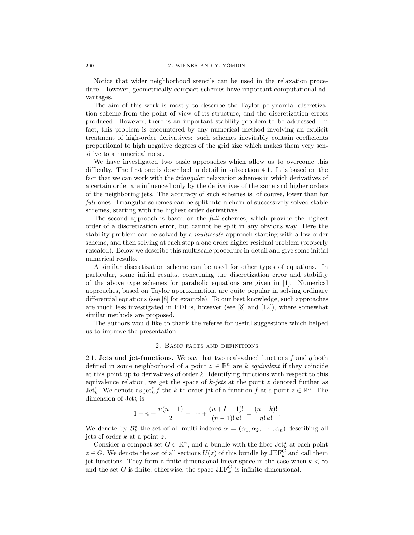Notice that wider neighborhood stencils can be used in the relaxation procedure. However, geometrically compact schemes have important computational advantages.

The aim of this work is mostly to describe the Taylor polynomial discretization scheme from the point of view of its structure, and the discretization errors produced. However, there is an important stability problem to be addressed. In fact, this problem is encountered by any numerical method involving an explicit treatment of high-order derivatives: such schemes inevitably contain coefficients proportional to high negative degrees of the grid size which makes them very sensitive to a numerical noise.

We have investigated two basic approaches which allow us to overcome this difficulty. The first one is described in detail in subsection 4.1. It is based on the fact that we can work with the *triangular* relaxation schemes in which derivatives of a certain order are influenced only by the derivatives of the same and higher orders of the neighboring jets. The accuracy of such schemes is, of course, lower than for *full* ones. Triangular schemes can be split into a chain of successively solved stable schemes, starting with the highest order derivatives.

The second approach is based on the *full* schemes, which provide the highest order of a discretization error, but cannot be split in any obvious way. Here the stability problem can be solved by a *multiscale* approach starting with a low order scheme, and then solving at each step a one order higher residual problem (properly rescaled). Below we describe this multiscale procedure in detail and give some initial numerical results.

A similar discretization scheme can be used for other types of equations. In particular, some initial results, concerning the discretization error and stability of the above type schemes for parabolic equations are given in [1]. Numerical approaches, based on Taylor approximation, are quite popular in solving ordinary differential equations (see [8] for example). To our best knowledge, such approaches are much less investigated in PDE's, however (see [8] and [12]), where somewhat similar methods are proposed.

The authors would like to thank the referee for useful suggestions which helped us to improve the presentation.

## 2. Basic facts and definitions

2.1. **Jets and jet-functions.** We say that two real-valued functions f and g both defined in some neighborhood of a point  $z \in \mathbb{R}^n$  are k *equivalent* if they coincide at this point up to derivatives of order  $k$ . Identifying functions with respect to this equivalence relation, we get the space of k*-jets* at the point z denoted further as Jet<sub> $k$ </sub><sup>2</sup>. We denote as jet<sub> $k$ </sub><sup> $k$ </sup> f the k-th order jet of a function f at a point  $z \in \mathbb{R}^n$ . The dimension of  $\mathrm{Jet}_k^z$  is

$$
1 + n + \frac{n(n+1)}{2} + \dots + \frac{(n+k-1)!}{(n-1)! \, k!} = \frac{(n+k)!}{n! \, k!}.
$$

We denote by  $\mathcal{B}_{k}^{z}$  the set of all multi-indexes  $\alpha = (\alpha_1, \alpha_2, \cdots, \alpha_n)$  describing all jets of order  $k$  at a point  $z$ .

Consider a compact set  $G \subset \mathbb{R}^n$ , and a bundle with the fiber  $\text{Jet}_k^z$  at each point  $z \in G$ . We denote the set of all sections  $U(z)$  of this bundle by JEF<sub>*k*</sub><sup>*G*</sup> and call them jet-functions. They form a finite dimensional linear space in the case when  $k<\infty$ and the set G is finite; otherwise, the space  $JEF_k^G$  is infinite dimensional.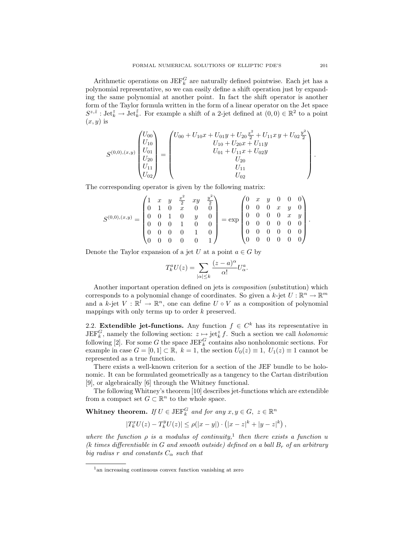Arithmetic operations on  $JEF_k^G$  are naturally defined pointwise. Each jet has a polynomial representative, so we can easily define a shift operation just by expanding the same polynomial at another point. In fact the shift operator is another form of the Taylor formula written in the form of a linear operator on the Jet space  $S^{z,\tilde{z}}$ : Jet $_{k}^{z} \to$  Jet $_{k}^{z}$ . For example a shift of a 2-jet defined at  $(0,0) \in \mathbb{R}^{2}$  to a point  $(x, y)$  is

$$
S^{(0,0),(x,y)}\begin{pmatrix}U_{00}\\U_{10}\\U_{01}\\U_{20}\\U_{11}\\U_{02}\end{pmatrix}=\begin{pmatrix}U_{00}+U_{10}x+U_{01}y+U_{20}\frac{x^2}{2}+U_{11}x y+U_{02}\frac{y^2}{2}\\U_{10}+U_{20}x+U_{11}y\\U_{01}+U_{11}x+U_{02}y\\U_{20}\\U_{11}\\U_{02}\end{pmatrix}.
$$

The corresponding operator is given by the following matrix:

$$
S^{(0,0),(x,y)} = \begin{pmatrix} 1 & x & y & \frac{x^2}{2} & xy & \frac{y^2}{2} \\ 0 & 1 & 0 & x & 0 & 0 \\ 0 & 0 & 1 & 0 & y & 0 \\ 0 & 0 & 0 & 1 & 0 & 0 \\ 0 & 0 & 0 & 0 & 1 & 0 \\ 0 & 0 & 0 & 0 & 0 & 1 \end{pmatrix} = \exp \begin{pmatrix} 0 & x & y & 0 & 0 & 0 \\ 0 & 0 & 0 & x & y & 0 \\ 0 & 0 & 0 & 0 & x & y \\ 0 & 0 & 0 & 0 & 0 & 0 \\ 0 & 0 & 0 & 0 & 0 & 0 \\ 0 & 0 & 0 & 0 & 0 & 0 \end{pmatrix}.
$$

Denote the Taylor expansion of a jet U at a point  $a \in G$  by

$$
T_{k}^{a}U(z) = \sum_{|\alpha| \leq k} \frac{(z-a)^{\alpha}}{\alpha!} U_{\alpha}^{a}.
$$

Another important operation defined on jets is *composition* (substitution) which corresponds to a polynomial change of coordinates. So given a  $k$ -jet  $U : \mathbb{R}^n \to \mathbb{R}^m$ and a k-jet  $V : \mathbb{R}^l \to \mathbb{R}^n$ , one can define  $U \circ V$  as a composition of polynomial mappings with only terms up to order  $k$  preserved.

2.2. **Extendible jet-functions.** Any function  $f \in C^k$  has its representative in  $JEF<sub>k</sub><sup>G</sup>$ , namely the following section:  $z \mapsto \text{jet}_{k}^{z} f$ . Such a section we call *holonomic* following [2]. For some G the space  $JEF_k^G$  contains also nonholonomic sections. For example in case  $G = [0, 1] \subset \mathbb{R}$ ,  $k = 1$ , the section  $U_0(z) \equiv 1$ ,  $U_1(z) \equiv 1$  cannot be represented as a true function.

There exists a well-known criterion for a section of the JEF bundle to be holonomic. It can be formulated geometrically as a tangency to the Cartan distribution [9], or algebraically [6] through the Whitney functional.

The following Whitney's theorem [10] describes jet-functions which are extendible from a compact set  $G \subset \mathbb{R}^n$  to the whole space.

**Whitney theorem.** *If*  $U \in \text{JEF}_k^G$  *and for any*  $x, y \in G$ ,  $z \in \mathbb{R}^n$ 

$$
|T_k^x U(z) - T_k^y U(z)| \le \rho(|x - y|) \cdot (|x - z|^k + |y - z|^k),
$$

*where the function*  $\rho$  *is a modulus of continuity*,<sup>1</sup> *then there exists a function u (*k *times differentiable in* G *and smooth outside) defined on a ball* B*<sup>r</sup> of an arbitrary big radius* r *and constants*  $C_{\alpha}$  *such that* 

<sup>1</sup>an increasing continuous convex function vanishing at zero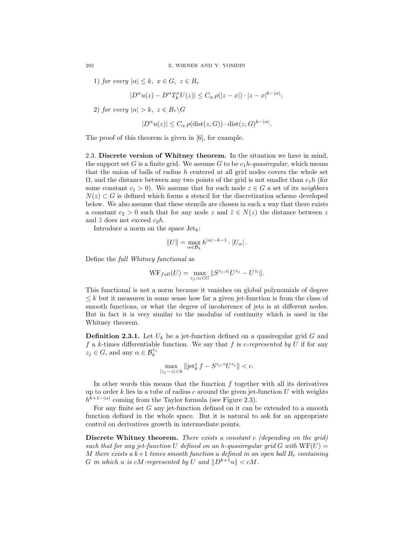1) *for every*  $|\alpha| \leq k$ ,  $x \in G$ ,  $z \in B_r$ 

$$
|D^{\alpha}u(z) - D^{\alpha}T_k^xU(z)| \leq C_{\alpha}\,\rho(|z-x|)\cdot|z-x|^{k-|\alpha|};
$$

2) *for every*  $|\alpha| > k$ ,  $z \in B_r \backslash G$ 

$$
|D^{\alpha}u(z)| \le C_{\alpha} \rho(\text{dist}(z, G)) \cdot \text{dist}(z, G)^{k - |\alpha|}.
$$

The proof of this theorem is given in [6], for example.

2.3. **Discrete version of Whitney theorem.** In the situation we have in mind, the support set G is a finite grid. We assume G to be  $c_1h$ -quasiregular, which means that the union of balls of radius  $h$  centered at all grid nodes covers the whole set  $\Omega$ , and the distance between any two points of the grid is not smaller than  $c_1h$  (for some constant  $c_1 > 0$ ). We assume that for each node  $z \in G$  a set of its *neighbors*  $N(z) \subset G$  is defined which forms a stencil for the discretization scheme developed below. We also assume that these stencils are chosen in such a way that there exists a constant  $c_2 > 0$  such that for any node z and  $\tilde{z} \in N(z)$  the distance between z and  $\tilde{z}$  does not exceed  $c_2h.$ 

Introduce a norm on the space Jet*k*:

$$
||U|| = \max_{\alpha \in \mathcal{B}_k} h^{|\alpha| - k - 1} \cdot |U_{\alpha}|.
$$

Define the *full Whitney functional* as

$$
\text{WF}_{full}(U) = \max_{z_j, z_l \in G} \|S^{z_j, z_l} U^{z_j} - U^{z_l}\|.
$$

This functional is not a norm because it vanishes on global polynomials of degree *≤* k but it measures in some sense how far a given jet-function is from the class of smooth functions, or what the degree of incoherence of jets is at different nodes. But in fact it is very similar to the modulus of continuity which is used in the Whitney theorem.

**Definition 2.3.1.** Let U*<sup>k</sup>* be a jet-function defined on a quasiregular grid G and f a k-times differentiable function. We say that f is c*-represented by* U if for any  $z_j \in G$ , and any  $\alpha \in \mathcal{B}_k^{z_j}$ 

$$
\max_{|z_j - z| < h} \|\text{jet}_{k}^z f - S^{z_j, z} U^{z_j}\| < c.
$$

In other words this means that the function  $f$  together with all its derivatives up to order k lies in a tube of radius c around the given jet-function  $U$  with weights h*<sup>k</sup>*+1*−|α<sup>|</sup>* coming from the Taylor formula (see Figure 2.3).

For any finite set  $G$  any jet-function defined on it can be extended to a smooth function defined in the whole space. But it is natural to ask for an appropriate control on derivatives growth in intermediate points.

**Discrete Whitney theorem.** *There exists a constant* c *(depending on the grid) such that for any jet-function* U defined on an h-quasiregular grid G with  $WF(U)$  = M there exists a  $k+1$  times smooth function u defined in an open ball  $B_r$  containing G in which u is cM-represented by U and  $||D^{k+1}u|| < cM$ .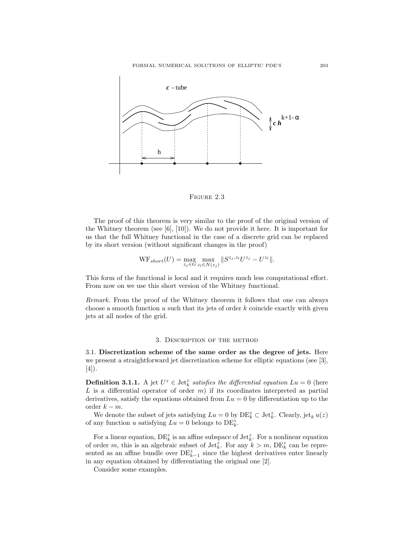



The proof of this theorem is very similar to the proof of the original version of the Whitney theorem (see [6], [10]). We do not provide it here. It is important for us that the full Whitney functional in the case of a discrete grid can be replaced by its short version (without significant changes in the proof)

$$
\mathrm{WF}_{short}(U) = \max_{z_j \in G} \max_{z_l \in N(z_j)} \|S^{z_j, z_l} U^{z_j} - U^{z_l}\|.
$$

This form of the functional is local and it requires much less computational effort. From now on we use this short version of the Whitney functional.

*Remark.* From the proof of the Whitney theorem it follows that one can always choose a smooth function  $u$  such that its jets of order  $k$  coincide exactly with given jets at all nodes of the grid.

#### 3. Description of the method

3.1. **Discretization scheme of the same order as the degree of jets.** Here we present a straightforward jet discretization scheme for elliptic equations (see [3], [4]).

**Definition 3.1.1.** A jet  $U^z \in \text{Jet}_k^z$  *satisfies the differential equation*  $Lu = 0$  (here  $L$  is a differential operator of order m) if its coordinates interpreted as partial derivatives, satisfy the equations obtained from  $Lu = 0$  by differentiation up to the order k *−* m.

We denote the subset of jets satisfying  $Lu = 0$  by  $\text{DE}_{k}^{z} \subset \text{Jet}_{k}^{z}$ . Clearly,  $\text{jet}_{k} u(z)$ of any function u satisfying  $Lu = 0$  belongs to  $DE_k^z$ .

For a linear equation,  $\text{DE}_k^z$  is an affine subspace of  $\text{Jet}_k^z$ . For a nonlinear equation of order m, this is an algebraic subset of  $\text{Jet}_k^z$ . For any  $k > m$ ,  $\text{DE}_k^z$  can be represented as an affine bundle over  $DE_{k-1}^z$  since the highest derivatives enter linearly in any equation obtained by differentiating the original one [2].

Consider some examples.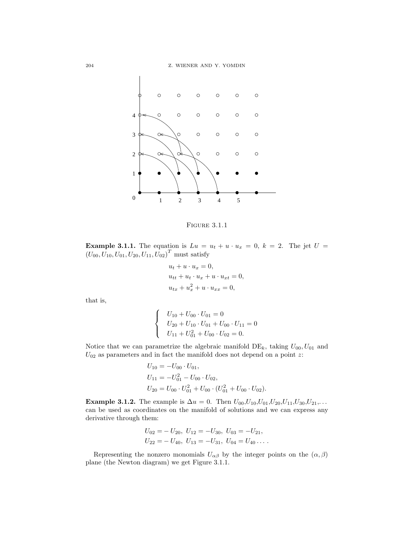

FIGURE 3.1.1

**Example 3.1.1.** The equation is  $Lu = u_t + u \cdot u_x = 0$ ,  $k = 2$ . The jet  $U =$  $(U_{00}, U_{10}, U_{01}, U_{20}, U_{11}, U_{02})^T$  must satisfy

$$
ut + u \cdot ux = 0,
$$
  
\n
$$
utt + ut \cdot ux + u \cdot uxt = 0,
$$
  
\n
$$
utx + ux2 + u \cdot uxx = 0,
$$

that is,

$$
\begin{cases}\nU_{10} + U_{00} \cdot U_{01} = 0 \\
U_{20} + U_{10} \cdot U_{01} + U_{00} \cdot U_{11} = 0 \\
U_{11} + U_{01}^2 + U_{00} \cdot U_{02} = 0.\n\end{cases}
$$

Notice that we can parametrize the algebraic manifold  $DE_k$ , taking  $U_{00}$ ,  $U_{01}$  and  $U_{02}$  as parameters and in fact the manifold does not depend on a point z:

$$
U_{10} = -U_{00} \cdot U_{01},
$$
  
\n
$$
U_{11} = -U_{01}^2 - U_{00} \cdot U_{02},
$$
  
\n
$$
U_{20} = U_{00} \cdot U_{01}^2 + U_{00} \cdot (U_{01}^2 + U_{00} \cdot U_{02}).
$$

**Example 3.1.2.** The example is  $\Delta u = 0$ . Then  $U_{00}$ , $U_{10}$ , $U_{01}$ , $U_{20}$ , $U_{11}$ , $U_{30}$ , $U_{21}$ ,... can be used as coordinates on the manifold of solutions and we can express any derivative through them:

$$
U_{02} = -U_{20}, U_{12} = -U_{30}, U_{03} = -U_{21},
$$
  

$$
U_{22} = -U_{40}, U_{13} = -U_{31}, U_{04} = U_{40} \dots
$$

Representing the nonzero monomials  $U_{\alpha\beta}$  by the integer points on the  $(\alpha, \beta)$ plane (the Newton diagram) we get Figure 3.1.1.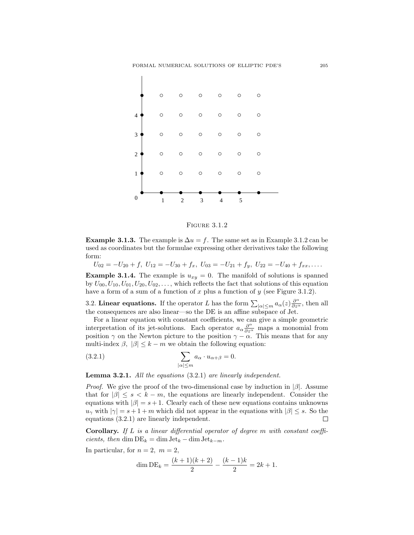

FIGURE 3.1.2

**Example 3.1.3.** The example is  $\Delta u = f$ . The same set as in Example 3.1.2 can be used as coordinates but the formulae expressing other derivatives take the following form:

 $U_{02} = -U_{20} + f$ ,  $U_{12} = -U_{30} + f_x$ ,  $U_{03} = -U_{21} + f_y$ ,  $U_{22} = -U_{40} + f_{xx}$ , ...

**Example 3.1.4.** The example is  $u_{xy} = 0$ . The manifold of solutions is spanned by  $U_{00}, U_{10}, U_{01}, U_{20}, U_{02}, \ldots$ , which reflects the fact that solutions of this equation have a form of a sum of a function of x plus a function of  $y$  (see Figure 3.1.2).

3.2. **Linear equations.** If the operator L has the form  $\sum_{|\alpha| \le m} a_{\alpha}(z) \frac{\partial^{\alpha}}{\partial z^{\alpha}}$ , then all the consequences are also linear—so the DE is an affine subspace of Jet.

For a linear equation with constant coefficients, we can give a simple geometric interpretation of its jet-solutions. Each operator  $a_{\alpha} \frac{\partial^{\alpha}}{\partial z^{\alpha}}$  maps a monomial from position  $\gamma$  on the Newton picture to the position  $\gamma - \alpha$ . This means that for any multi-index  $\beta$ ,  $|\beta| \leq k - m$  we obtain the following equation:

(3.2.1) 
$$
\sum_{|\alpha| \leq m} a_{\alpha} \cdot u_{\alpha+\beta} = 0.
$$

**Lemma 3.2.1.** *All the equations* (3.2.1) *are linearly independent.*

*Proof.* We give the proof of the two-dimensional case by induction in *|*β*|*. Assume that for  $|\beta| \leq s < k - m$ , the equations are linearly independent. Consider the equations with  $|\beta| = s + 1$ . Clearly each of these new equations contains unknowns  $u_{\gamma}$  with  $|\gamma| = s + 1 + m$  which did not appear in the equations with  $|\beta| \leq s$ . So the equations (3.2.1) are linearly independent.  $\Box$ 

**Corollary.** *If* L *is a linear differential operator of degree* m *with constant coeffi* $cients, then \dim DE_k = \dim Jet_k - \dim Jet_{k-m}.$ 

In particular, for  $n = 2$ ,  $m = 2$ ,

$$
\dim \text{DE}_k = \frac{(k+1)(k+2)}{2} - \frac{(k-1)k}{2} = 2k + 1.
$$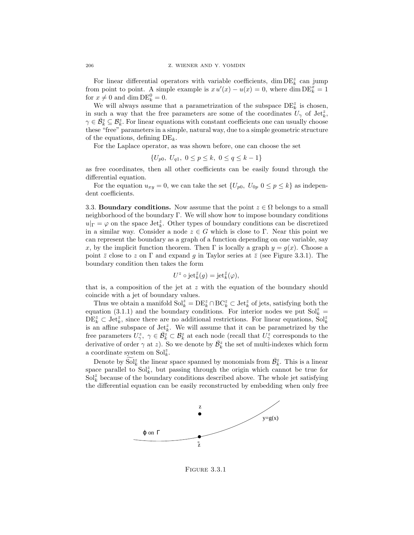For linear differential operators with variable coefficients,  $\dim \mathrm{DE}_k^z$  can jump from point to point. A simple example is  $x u'(x) - u(x) = 0$ , where dim  $DE_k^x = 1$ for  $x \neq 0$  and dim  $DE_k^0 = 0$ .

We will always assume that a parametrization of the subspace  $DE_k^z$  is chosen, in such a way that the free parameters are some of the coordinates  $U_{\gamma}$  of Jet<sub>k</sub><sup>2</sup>,  $\gamma \in \bar{\mathcal{B}}_k^z \subseteq \mathcal{B}_k^z$ . For linear equations with constant coefficients one can usually choose these "free" parameters in a simple, natural way, due to a simple geometric structure of the equations, defining DE*k*.

For the Laplace operator, as was shown before, one can choose the set

$$
\{U_{p0},\ U_{q1},\ 0 \le p \le k,\ 0 \le q \le k-1\}
$$

as free coordinates, then all other coefficients can be easily found through the differential equation.

For the equation  $u_{xy} = 0$ , we can take the set  $\{U_{p0}, U_{0p} \mid 0 \le p \le k\}$  as independent coefficients.

3.3. **Boundary conditions.** Now assume that the point  $z \in \Omega$  belongs to a small neighborhood of the boundary Γ. We will show how to impose boundary conditions  $u|_{\Gamma} = \varphi$  on the space Jet<sub>k</sub><sup>2</sup>. Other types of boundary conditions can be discretized in a similar way. Consider a node  $z \in G$  which is close to Γ. Near this point we can represent the boundary as a graph of a function depending on one variable, say x, by the implicit function theorem. Then  $\Gamma$  is locally a graph  $y = q(x)$ . Choose a point  $\bar{z}$  close to z on  $\Gamma$  and expand g in Taylor series at  $\bar{z}$  (see Figure 3.3.1). The boundary condition then takes the form

$$
U^z \circ \mathrm{jet}_{k}^{\bar{z}}(g) = \mathrm{jet}_{k}^{\bar{z}}(\varphi),
$$

that is, a composition of the jet at  $z$  with the equation of the boundary should coincide with a jet of boundary values.

Thus we obtain a manifold  $Sol_k^z = DE_k^z \cap BC_k^z \subset Jet_k^z$  of jets, satisfying both the equation (3.1.1) and the boundary conditions. For interior nodes we put  $Sol_k^z =$  $DE_k^z \subset \text{Jet}_k^z$ , since there are no additional restrictions. For linear equations,  $\text{Sol}_k^z$ is an affine subspace of  $\mathrm{Jet}_k^z$ . We will assume that it can be parametrized by the free parameters  $U^z_\gamma$ ,  $\gamma \in \bar{\mathcal{B}}^z_k \subset \mathcal{B}^z_k$  at each node (recall that  $U^z_\gamma$  corresponds to the derivative of order  $\gamma$  at z). So we denote by  $\bar{\mathcal{B}}_k^z$  the set of multi-indexes which form a coordinate system on  $Sol<sub>k</sub><sup>z</sup>$ .

Denote by  $\widetilde{SO}_{k}^{z}$  the linear space spanned by monomials from  $\overline{\mathcal{B}}_{k}^{z}$ . This is a linear space parallel to  $\text{Sol}_k^z$ , but passing through the origin which cannot be true for  $Sol<sub>k</sub><sup>z</sup>$  because of the boundary conditions described above. The whole jet satisfying the differential equation can be easily reconstructed by embedding when only free



FIGURE 3.3.1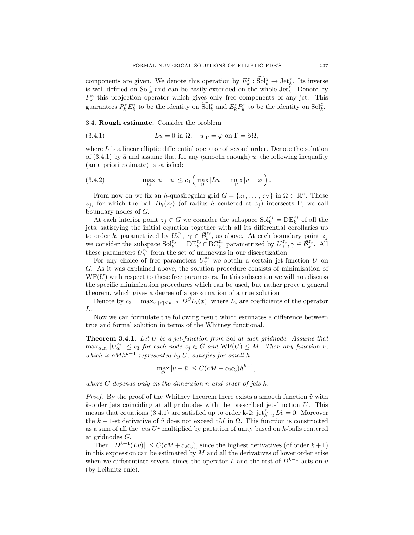components are given. We denote this operation by  $E_k^z : \widetilde{\text{Sol}}_k^z \to \text{Jet}_k^z$ . Its inverse is well defined on  $Sol_k^z$  and can be easily extended on the whole  $Jet_k^z$ . Denote by  $P_k^z$  this projection operator which gives only free components of any jet. This guarantees  $P_k^z E_k^z$  to be the identity on  $\widetilde{\text{Sol}}_k^z$  and  $E_k^z P_k^z$  to be the identity on  $\text{Sol}_k^z$ .

3.4. **Rough estimate.** Consider the problem

(3.4.1) 
$$
Lu = 0 \text{ in } \Omega, \quad u|_{\Gamma} = \varphi \text{ on } \Gamma = \partial \Omega,
$$

where  $L$  is a linear elliptic differential operator of second order. Denote the solution of  $(3.4.1)$  by  $\bar{u}$  and assume that for any (smooth enough) u, the following inequality (an a priori estimate) is satisfied:

(3.4.2) 
$$
\max_{\Omega} |u - \bar{u}| \leq c_1 \left( \max_{\Omega} |Lu| + \max_{\Gamma} |u - \varphi| \right).
$$

From now on we fix an h-quasiregular grid  $G = \{z_1, \ldots, z_N\}$  in  $\Omega \subset \mathbb{R}^n$ . Those  $z_j$ , for which the ball  $B_h(z_j)$  (of radius h centered at  $z_j$ ) intersects Γ, we call boundary nodes of G.

At each interior point  $z_j \in G$  we consider the subspace  $\text{Sol}_{k}^{z_j} = \text{DE}_{k}^{z_j}$  of all the jets, satisfying the initial equation together with all its differential corollaries up to order k, parametrized by  $U_{\gamma}^{z_j}$ ,  $\gamma \in \overline{\mathcal{B}}_k^{z_j}$ , as above. At each boundary point  $z_j$ we consider the subspace  $Sol_k^{z_j} = DE_k^{z_j} \cap BC_k^{z_j}$  parametrized by  $U_{\gamma}^{z_j}, \gamma \in \overline{\mathcal{B}}_k^{z_j}$ . All these parameters  $U_{\gamma}^{z_j}$  form the set of unknowns in our discretization.

For any choice of free parameters  $U_{\gamma}^{z_j}$  we obtain a certain jet-function U on G. As it was explained above, the solution procedure consists of minimization of  $WF(U)$  with respect to these free parameters. In this subsection we will not discuss the specific minimization procedures which can be used, but rather prove a general theorem, which gives a degree of approximation of a true solution

Denote by  $c_2 = \max_{x, |\beta| \le k-2} |D^\beta L_i(x)|$  where  $L_i$  are coefficients of the operator L.

Now we can formulate the following result which estimates a difference between true and formal solution in terms of the Whitney functional.

**Theorem 3.4.1.** *Let* U *be a jet-function from* Sol *at each gridnode. Assume that*  $\max_{\alpha, z_j} |U_{\alpha}^{z_j}| \leq c_3$  *for each node*  $z_j \in G$  *and*  $WF(U) \leq M$ . Then any function v, *which is*  $cMh^{k+1}$  *represented by* U, *satisfies for small* h

$$
\max_{\Omega} |v - \bar{u}| \le C(cM + c_2c_3)h^{k-1},
$$

*where* C *depends only on the dimension* n *and order of jets* k*.*

*Proof.* By the proof of the Whitney theorem there exists a smooth function  $\tilde{v}$  with  $k$ -order jets coinciding at all gridnodes with the prescribed jet-function  $U$ . This means that equations (3.4.1) are satisfied up to order k-2:  $\text{jet}_{k-2}^{\tilde{z}_j} L\tilde{v} = 0$ . Moreover the k + 1-st derivative of  $\tilde{v}$  does not exceed cM in  $\Omega$ . This function is constructed as a sum of all the jets  $U^z$  multiplied by partition of unity based on h-balls centered at gridnodes G.

Then  $||D^{k-1}(L\tilde{v})|| \leq C(cM + c_2c_3)$ , since the highest derivatives (of order  $k + 1$ ) in this expression can be estimated by  $M$  and all the derivatives of lower order arise when we differentiate several times the operator L and the rest of  $D^{k-1}$  acts on  $\tilde{v}$ (by Leibnitz rule).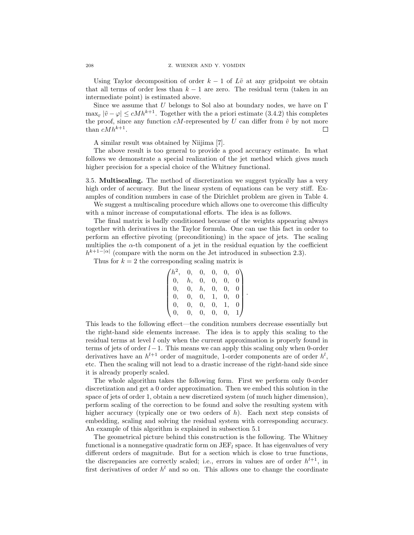Using Taylor decomposition of order  $k - 1$  of  $L\tilde{v}$  at any gridpoint we obtain that all terms of order less than k *−* 1 are zero. The residual term (taken in an intermediate point) is estimated above.

Since we assume that U belongs to Sol also at boundary nodes, we have on  $\Gamma$  $\max_{r} |\tilde{v} - \varphi| \leq c M h^{k+1}$ . Together with the a priori estimate (3.4.2) this completes the proof, since any function  $cM$ -represented by U can differ from  $\tilde{v}$  by not more than  $cMh^{k+1}$ .  $\Box$ 

A similar result was obtained by Niijima [7].

The above result is too general to provide a good accuracy estimate. In what follows we demonstrate a special realization of the jet method which gives much higher precision for a special choice of the Whitney functional.

3.5. **Multiscaling.** The method of discretization we suggest typically has a very high order of accuracy. But the linear system of equations can be very stiff. Examples of condition numbers in case of the Dirichlet problem are given in Table 4.

We suggest a multiscaling procedure which allows one to overcome this difficulty with a minor increase of computational efforts. The idea is as follows.

The final matrix is badly conditioned because of the weights appearing always together with derivatives in the Taylor formula. One can use this fact in order to perform an effective pivoting (preconditioning) in the space of jets. The scaling multiplies the  $\alpha$ -th component of a jet in the residual equation by the coefficient  $h^{k+1-|\alpha|}$  (compare with the norm on the Jet introduced in subsection 2.3).

Thus for  $k = 2$  the corresponding scaling matrix is

$$
\begin{pmatrix} h^2, & 0, & 0, & 0, & 0, & 0 \\ 0, & h, & 0, & 0, & 0, & 0 \\ 0, & 0, & h, & 0, & 0, & 0 \\ 0, & 0, & 0, & 1, & 0, & 0 \\ 0, & 0, & 0, & 0, & 1, & 0 \\ 0, & 0, & 0, & 0, & 0, & 1 \end{pmatrix}.
$$

This leads to the following effect—the condition numbers decrease essentially but the right-hand side elements increase. The idea is to apply this scaling to the residual terms at level l only when the current approximation is properly found in terms of jets of order l*−*1. This means we can apply this scaling only when 0-order derivatives have an  $h^{l+1}$  order of magnitude, 1-order components are of order  $h^l$ , etc. Then the scaling will not lead to a drastic increase of the right-hand side since it is already properly scaled.

The whole algorithm takes the following form. First we perform only 0-order discretization and get a 0 order approximation. Then we embed this solution in the space of jets of order 1, obtain a new discretized system (of much higher dimension), perform scaling of the correction to be found and solve the resulting system with higher accuracy (typically one or two orders of  $h$ ). Each next step consists of embedding, scaling and solving the residual system with corresponding accuracy. An example of this algorithm is explained in subsection 5.1

The geometrical picture behind this construction is the following. The Whitney functional is a nonnegative quadratic form on  $JEF_l$  space. It has eigenvalues of very different orders of magnitude. But for a section which is close to true functions, the discrepancies are correctly scaled; i.e., errors in values are of order  $h^{l+1}$ , in first derivatives of order  $h^l$  and so on. This allows one to change the coordinate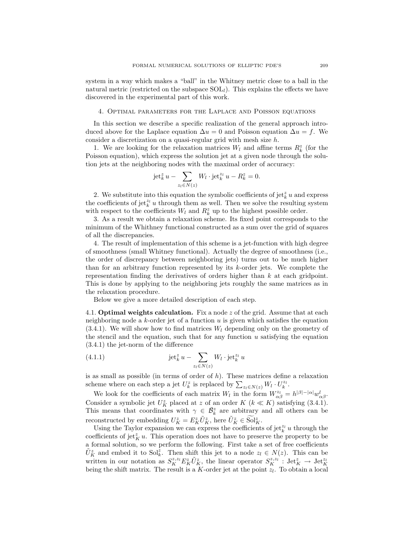system in a way which makes a "ball" in the Whitney metric close to a ball in the natural metric (restricted on the subspace  $SOL<sub>l</sub>$ ). This explains the effects we have discovered in the experimental part of this work.

4. Optimal parameters for the Laplace and Poisson equations

In this section we describe a specific realization of the general approach introduced above for the Laplace equation  $\Delta u = 0$  and Poisson equation  $\Delta u = f$ . We consider a discretization on a quasi-regular grid with mesh size h.

1. We are looking for the relaxation matrices  $W_l$  and affine terms  $R_k^z$  (for the Poisson equation), which express the solution jet at a given node through the solution jets at the neighboring nodes with the maximal order of accuracy:

$$
\operatorname{jet}^z_k u - \sum_{z_l \in N(z)} W_l \cdot \operatorname{jet}^{z_l}_k u - R^z_k = 0.
$$

2. We substitute into this equation the symbolic coefficients of jet $_k^z u$  and express the coefficients of jet $_k^{z_l}$  u through them as well. Then we solve the resulting system with respect to the coefficients  $W_l$  and  $R_k^z$  up to the highest possible order.

3. As a result we obtain a relaxation scheme. Its fixed point corresponds to the minimum of the Whithney functional constructed as a sum over the grid of squares of all the discrepancies.

4. The result of implementation of this scheme is a jet-function with high degree of smoothness (small Whitney functional). Actually the degree of smoothness (i.e., the order of discrepancy between neighboring jets) turns out to be much higher than for an arbitrary function represented by its k-order jets. We complete the representation finding the derivatives of orders higher than k at each gridpoint. This is done by applying to the neighboring jets roughly the same matrices as in the relaxation procedure.

Below we give a more detailed description of each step.

4.1. **Optimal weights calculation.** Fix a node z of the grid. Assume that at each neighboring node a  $k$ -order jet of a function  $u$  is given which satisfies the equation (3.4.1). We will show how to find matrices W*<sup>l</sup>* depending only on the geometry of the stencil and the equation, such that for any function  $u$  satisfying the equation (3.4.1) the jet-norm of the difference

(4.1.1) 
$$
\qquad \qquad \mathrm{jet}_{k}^{z} u - \sum_{z_{l} \in N(z)} W_{l} \cdot \mathrm{jet}_{k}^{z_{l}} u
$$

is as small as possible (in terms of order of  $h$ ). These matrices define a relaxation scheme where on each step a jet  $U_k^z$  is replaced by  $\sum_{z_l \in N(z)} W_l \cdot U_k^{z_l}$ .

We look for the coefficients of each matrix  $W_l$  in the form  $W^{z_l}_{\alpha\beta} = h^{|\beta| - |\alpha|} w^l_{\alpha\beta}$ . Consider a symbolic jet  $U_K^z$  placed at z of an order  $K$  ( $k \ll K$ ) satisfying (3.4.1). This means that coordinates with  $\gamma \in \overline{\mathcal{B}}_k^z$  are arbitrary and all others can be reconstructed by embedding  $U_K^z = E_K^z \tilde{U}_K^z$ , here  $\tilde{U}_K^z \in \widetilde{\text{Sol}}_K^z$ .<br> *Kaling the Taylor emerging we can sympete the seefficient*.

Using the Taylor expansion we can express the coefficients of jet<sub> $k$ </sub><sup>*l*</sup> u through the coefficients of jet<sub>K</sub><sup> $x$ </sup>. This operation does not have to preserve the property to be a formal solution, so we perform the following. First take a set of free coefficients  $\tilde{U}_K^z$  and embed it to Sol<sub>k</sub><sup>2</sup>. Then shift this jet to a node  $z_l \in N(z)$ . This can be written in our notation as  $S_K^{z,z_l} E_K^z \tilde{U}_K^z$ , the linear operator  $S_K^{z,z_l}$ : Jet $_K^z \to \text{Jet}_K^{z_l}$  being the shift matrix. The result is a K-order jet at the point  $z_l$ . To obtain a local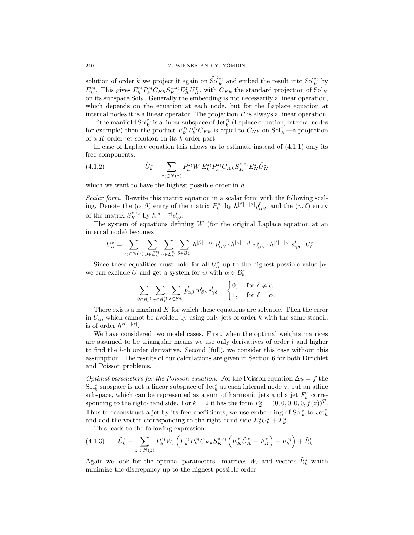solution of order k we project it again on  $\widetilde{\text{Sol}}_k^{z_l}$  and embed the result into  $\text{Sol}_k^{z_l}$  by  $E_k^{z_l}$ . This gives  $E_k^{z_l} P_k^{z_l} C_{Kk} S_K^{z, z_l} E_K^z \tilde{U}_K^z$ , with  $C_{Kk}$  the standard projection of  $Sol_K$ on its subspace Sol*k*. Generally the embedding is not necessarily a linear operation, which depends on the equation at each node, but for the Laplace equation at internal nodes it is a linear operator. The projection  $P$  is always a linear operation.

If the manifold  $\text{Sol}_k^{\mathcal{Z}_l}$  is a linear subspace of  $\text{Jet}_k^{\mathcal{Z}_l}$  (Laplace equation, internal nodes for example) then the product  $E_k^{z_l} P_k^{z_l} C_{Kk}$  is equal to  $C_{Kk}$  on  $\text{Sol}_K^z$ —a projection of a K-order jet-solution on its k-order part.

In case of Laplace equation this allows us to estimate instead of (4.1.1) only its free components:

(4.1.2) 
$$
\tilde{U}_{k}^{z} - \sum_{z_{l} \in N(z)} P_{k}^{z_{l}} W_{l} E_{k}^{z_{l}} P_{k}^{z_{l}} C_{K k} S_{K}^{z, z_{l}} E_{K}^{z} \tilde{U}_{K}^{z}
$$

which we want to have the highest possible order in  $h$ .

*Scalar form.* Rewrite this matrix equation in a scalar form with the following scaling. Denote the  $(\alpha, \beta)$  entry of the matrix  $P_k^{z_l}$  by  $h^{|\beta|-|\alpha|}p_{\alpha\beta}^l$ , and the  $(\gamma, \delta)$  entry of the matrix  $S_K^{z,z_l}$  by  $h^{|\delta|-|\gamma|} s_{\gamma\delta}^l$ .

The system of equations defining  $W$  (for the original Laplace equation at an internal node) becomes

$$
U^z_\alpha = \sum_{z_l \in N(z)} \sum_{\beta \in \vec{\mathcal{B}}^{z_l}_k} \sum_{\gamma \in \mathcal{B}^{z_l}_k} \sum_{\delta \in \mathcal{B}^z_K} h^{|\beta|-|\alpha|} \, p^l_{\alpha \beta} \cdot h^{|\gamma|-|\beta|} \, w^l_{\beta \gamma} \cdot h^{|\delta|-|\gamma|} \, s^l_{\gamma \delta} \cdot U^z_\delta.
$$

Since these equalities must hold for all  $U^x_\alpha$  up to the highest possible value  $|\alpha|$ we can exclude U and get a system for w with  $\alpha \in \overline{\mathcal{B}}_k^z$ :

$$
\sum_{\beta \in \bar{\mathcal{B}}^{\bar{z}_l}_{k}} \sum_{\gamma \in \mathcal{B}^{\bar{z}_l}_{k}} \sum_{\delta \in \mathcal{B}^z_{K}} p^l_{\alpha\beta} w^l_{\beta\gamma} s^l_{\gamma\delta} = \begin{cases} 0, & \text{for } \delta \neq \alpha \\ 1, & \text{for } \delta = \alpha. \end{cases}
$$

There exists a maximal K for which these equations are solvable. Then the error in  $U_{\alpha}$ , which cannot be avoided by using only jets of order k with the same stencil, is of order  $h^{K-|\alpha|}$ .

We have considered two model cases. First, when the optimal weights matrices are assumed to be triangular means we use only derivatives of order  $l$  and higher to find the l-th order derivative. Second (full), we consider this case without this assumption. The results of our calculations are given in Section 6 for both Dirichlet and Poisson problems.

*Optimal parameters for the Poisson equation.* For the Poisson equation  $\Delta u = f$  the  $\text{Sol}_k^z$  subspace is not a linear subspace of  $\text{Jet}_k^z$  at each internal node z, but an affine subspace, which can be represented as a sum of harmonic jets and a jet  $F_k^z$  corresponding to the right-hand side. For  $k = 2$  it has the form  $F_2^z = (0, 0, 0, 0, 0, 0, f(z))^T$ . Thus to reconstruct a jet by its free coefficients, we use embedding of  $\widetilde{\text{Sol}}_k^z$  to  $\text{Jet}_k^z$ and add the vector corresponding to the right-hand side  $E_k^z U_k^z + F_k^z$ .

This leads to the following expression:

$$
(4.1.3) \t\tilde{U}_{k}^{z} - \sum_{z_{l} \in N(z)} P_{k}^{z_{l}} W_{l} \left( E_{k}^{z_{l}} P_{k}^{z_{l}} C_{K k} S_{K}^{z, z_{l}} \left( E_{K}^{z} \tilde{U}_{K}^{z} + F_{K}^{z} \right) + F_{k}^{z_{l}} \right) + \tilde{R}_{k}^{z}.
$$

Again we look for the optimal parameters: matrices  $W_l$  and vectors  $\tilde{R}_k^z$  which minimize the discrepancy up to the highest possible order.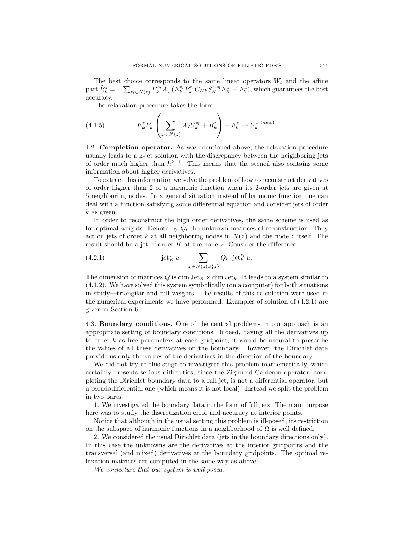The best choice corresponds to the same linear operators  $W_l$  and the affine part  $\tilde{R}_k^z = -\sum_{z_l \in N(z)} P_k^{z_l} \tilde{W}_l \left( E_k^{z_l} P_k^{z_l} C_{Kk} S_K^{z, z_l} F_K^z + F_k^z \right)$ , which guarantees the best accuracy.

The relaxation procedure takes the form

(4.1.5) 
$$
E_k^z P_k^z \left( \sum_{z_l \in N(z)} W_l U_k^{z_l} + R_k^z \right) + F_k^z \to U_k^{z \text{ (new)}}.
$$

4.2. **Completion operator.** As was mentioned above, the relaxation procedure usually leads to a k-jet solution with the discrepancy between the neighboring jets of order much higher than  $h^{k+1}$ . This means that the stencil also contains some information about higher derivatives.

To extract this information we solve the problem of how to reconstruct derivatives of order higher than 2 of a harmonic function when its 2-order jets are given at 5 neighboring nodes. In a general situation instead of harmonic function one can deal with a function satisfying some differential equation and consider jets of order  $k$  as given.

In order to reconstruct the high order derivatives, the same scheme is used as for optimal weights. Denote by  $Q_l$  the unknown matrices of reconstruction. They act on jets of order k at all neighboring nodes in  $N(z)$  and the node z itself. The result should be a jet of order  $K$  at the node  $z$ . Consider the difference

(4.2.1) 
$$
\qquad \qquad \mathrm{jet}_{K}^{z} u - \sum_{z_{l} \in N(z) \cup \{z\}} Q_{l} \cdot \mathrm{jet}_{k}^{z_{l}} u.
$$

The dimension of matrices Q is dim  $\text{Jet}_K \times \dim \text{Jet}_k$ . It leads to a system similar to (4.1.2). We have solved this system symbolically (on a computer) for both situations in study—triangilar and full weights. The results of this calculation were used in the numerical experiments we have performed. Examples of solution of (4.2.1) are given in Section 6.

4.3. **Boundary conditions.** One of the central problems in our approach is an appropriate setting of boundary conditions. Indeed, having all the derivatives up to order  $k$  as free parameters at each gridpoint, it would be natural to prescribe the values of all these derivatives on the boundary. However, the Dirichlet data provide us only the values of the derivatives in the direction of the boundary.

We did not try at this stage to investigate this problem mathematically, which certainly presents serious difficulties, since the Zigmund-Calderon operator, completing the Dirichlet boundary data to a full jet, is not a differential operator, but a pseudodifferential one (which means it is not local). Instead we split the problem in two parts:

1. We investigated the boundary data in the form of full jets. The main purpose here was to study the discretization error and accuracy at interior points.

Notice that although in the usual setting this problem is ill-posed, its restriction on the subspace of harmonic functions in a neighborhood of  $\Omega$  is well defined.

2. We considered the usual Dirichlet data (jets in the boundary directions only). In this case the unknowns are the derivatives at the interior gridpoints and the transversal (and mixed) derivatives at the boundary gridpoints. The optimal relaxation matrices are computed in the same way as above.

*We conjecture that our system is well posed.*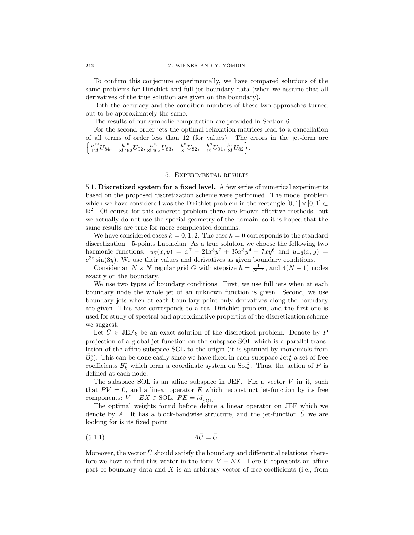To confirm this conjecture experimentally, we have compared solutions of the same problems for Dirichlet and full jet boundary data (when we assume that all derivatives of the true solution are given on the boundary).

Both the accuracy and the condition numbers of these two approaches turned out to be approximately the same.

The results of our symbolic computation are provided in Section 6.

For the second order jets the optimal relaxation matrices lead to a cancellation of all terms of order less than 12 (for values). The errors in the jet-form are  $\left\{\frac{h^{12}}{12!}U_{84}, -\frac{h^{10}}{8!462}U_{92}, \frac{h^{10}}{8!462}U_{83}, -\frac{h^{8}}{8!}U_{82}, -\frac{h^{8}}{9!}U_{91}, \frac{h^{8}}{8!}U_{82}\right\}.$ 

## 5. Experimental results

5.1. **Discretized system for a fixed level.** A few series of numerical experiments based on the proposed discretization scheme were performed. The model problem which we have considered was the Dirichlet problem in the rectangle  $[0, 1] \times [0, 1] \subset$  $\mathbb{R}^2$ . Of course for this concrete problem there are known effective methods, but we actually do not use the special geometry of the domain, so it is hoped that the same results are true for more complicated domains.

We have considered cases  $k = 0, 1, 2$ . The case  $k = 0$  corresponds to the standard discretization—5-points Laplacian. As a true solution we choose the following two harmonic functions:  $u_7(x,y) = x^7 - 21x^5y^2 + 35x^3y^4 - 7xy^6$  and  $u_{-3}(x,y) =$  $e^{3x}\sin(3y)$ . We use their values and derivatives as given boundary conditions.

Consider an  $N \times N$  regular grid G with stepsize  $h = \frac{1}{N-1}$ , and  $4(N-1)$  nodes exactly on the boundary.

We use two types of boundary conditions. First, we use full jets when at each boundary node the whole jet of an unknown function is given. Second, we use boundary jets when at each boundary point only derivatives along the boundary are given. This case corresponds to a real Dirichlet problem, and the first one is used for study of spectral and approximative properties of the discretization scheme we suggest.

Let  $U \in \text{JEF}_k$  be an exact solution of the discretized problem. Denote by P projection of a global jet-function on the subspace SOL which is a parallel translation of the affine subspace SOL to the origin (it is spanned by monomials from  $\bar{B}_k^z$ ). This can be done easily since we have fixed in each subspace Jet<sub>k</sub><sup>2</sup> a set of free coefficients  $\bar{B}_k^z$  which form a coordinate system on  $Sol_k^z$ . Thus, the action of P is defined at each node.

The subspace SOL is an affine subspace in JEF. Fix a vector  $V$  in it, such that  $PV = 0$ , and a linear operator E which reconstruct jet-function by its free components:  $V + EX \in SOL$ ,  $PE = id_{\widetilde{SOL}}$ .

The optimal weights found before define a linear operator on JEF which we denote by A. It has a block-bandwise structure, and the jet-function  $\bar{U}$  we are looking for is its fixed point

AU¯ = U. ¯ (5.1.1)

Moreover, the vector  $\bar{U}$  should satisfy the boundary and differential relations; therefore we have to find this vector in the form  $V + EX$ . Here V represents an affine part of boundary data and X is an arbitrary vector of free coefficients (i.e., from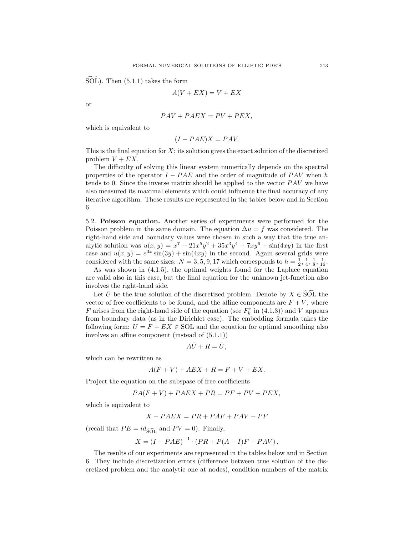$\widetilde{\text{SOL}}$ . Then  $(5.1.1)$  takes the form

$$
A(V + EX) = V + EX
$$

or

$$
PAV + PAEX = PV + PEX,
$$

which is equivalent to

$$
(I - PAE)X = PAV.
$$

This is the final equation for  $X$ ; its solution gives the exact solution of the discretized problem  $V + EX$ .

The difficulty of solving this linear system numerically depends on the spectral properties of the operator  $I - PAE$  and the order of magnitude of PAV when h tends to 0. Since the inverse matrix should be applied to the vector  $PAV$  we have also measured its maximal elements which could influence the final accuracy of any iterative algorithm. These results are represented in the tables below and in Section 6.

5.2. **Poisson equation.** Another series of experiments were performed for the Poisson problem in the same domain. The equation  $\Delta u = f$  was considered. The right-hand side and boundary values were chosen in such a way that the true analytic solution was  $u(x, y) = x^7 - 21x^5y^2 + 35x^3y^4 - 7xy^6 + \sin(4xy)$  in the first case and  $u(x, y) = e^{3x} \sin(3y) + \sin(4xy)$  in the second. Again several grids were considered with the same sizes:  $N = 3, 5, 9, 17$  which corresponds to  $h = \frac{1}{2}, \frac{1}{4}, \frac{1}{8}, \frac{1}{16}$ .

As was shown in (4.1.5), the optimal weights found for the Laplace equation are valid also in this case, but the final equation for the unknown jet-function also involves the right-hand side.

Let  $\overline{U}$  be the true solution of the discretized problem. Denote by  $X \in SOL$  the vector of free coefficients to be found, and the affine components are  $F + V$ , where F arises from the right-hand side of the equation (see  $F_k^z$  in (4.1.3)) and V appears from boundary data (as in the Dirichlet case). The embedding formula takes the following form:  $U = F + EX \in SOL$  and the equation for optimal smoothing also involves an affine component (instead of (5.1.1))

$$
A\bar{U} + R = \bar{U},
$$

which can be rewritten as

$$
A(F + V) + AEX + R = F + V + EX.
$$

Project the equation on the subspase of free coefficients

$$
PA(F + V) + PAEX + PR = PF + PV + PEX,
$$

which is equivalent to

$$
X - PAEX = PR + PAF + PAV - PF
$$

(recall that  $PE = id_{\widetilde{SOL}}$  and  $PV = 0$ ). Finally,

$$
X = (I - PAE)^{-1} \cdot (PR + P(A - I)F + PAV).
$$

The results of our experiments are represented in the tables below and in Section 6. They include discretization errors (difference between true solution of the discretized problem and the analytic one at nodes), condition numbers of the matrix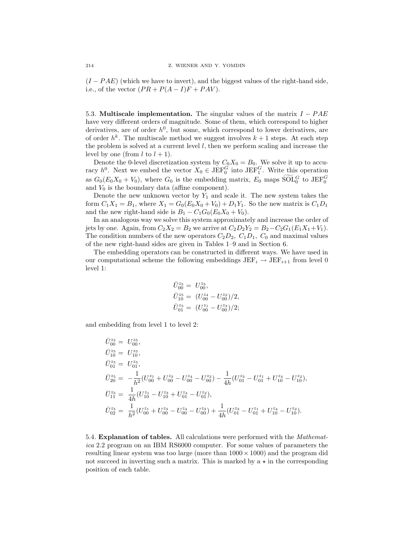(I *−* P AE) (which we have to invert), and the biggest values of the right-hand side, i.e., of the vector  $(PR + P(A - I)F + PAV)$ .

5.3. **Multiscale implementation.** The singular values of the matrix  $I - PAE$ have very different orders of magnitude. Some of them, which correspond to higher derivatives, are of order  $h^0$ , but some, which correspond to lower derivatives, are of order  $h^k$ . The multiscale method we suggest involves  $k + 1$  steps. At each step the problem is solved at a current level  $l$ , then we perform scaling and increase the level by one (from  $l$  to  $l + 1$ ).

Denote the 0-level discretization system by  $C_0X_0 = B_0$ . We solve it up to accuracy  $h^0$ . Next we embed the vector  $X_0 \in \text{JEF}_0^G$  into  $\text{JEF}_1^G$ . Write this operation as  $G_0(E_0 X_0 + V_0)$ , where  $G_0$  is the embedding matrix,  $E_0$  maps  $\widetilde{\text{SOL}}_0^G$  to  $\text{JEF}_0^G$ and  $V_0$  is the boundary data (affine component).

Denote the new unknown vector by  $Y_1$  and scale it. The new system takes the form  $C_1X_1 = B_1$ , where  $X_1 = G_0(E_0X_0 + V_0) + D_1Y_1$ . So the new matrix is  $C_1D_1$ and the new right-hand side is  $B_1 - C_1G_0(E_0X_0 + V_0)$ .

In an analogous way we solve this system approximately and increase the order of jets by one. Again, from  $C_2X_2 = B_2$  we arrive at  $C_2D_2Y_2 = B_2 - C_2G_1(E_1X_1+V_1)$ . The condition numbers of the new operators  $C_2D_2$ ,  $C_1D_1$ ,  $C_0$  and maximal values of the new right-hand sides are given in Tables 1–9 and in Section 6.

The embedding operators can be constructed in different ways. We have used in our computational scheme the following embeddings  $JEF_i \rightarrow JEF_{i+1}$  from level 0 level 1:

$$
\begin{aligned}\n\bar{U}_{00}^{z_5} &= U_{00}^{z_5}, \\
\bar{U}_{10}^{z_5} &= (U_{00}^{z_4} - U_{00}^{z_2})/2, \\
\bar{U}_{01}^{z_5} &= (U_{00}^{z_1} - U_{00}^{z_3})/2;\n\end{aligned}
$$

and embedding from level 1 to level 2:

$$
\begin{array}{llll} \bar{U}_{00}^{z_{5}}=&U_{00}^{z_{5}},\\ \bar{U}_{10}^{z_{5}}=&U_{10}^{z_{5}},\\ \bar{U}_{01}^{z_{5}}=&U_{01}^{z_{5}},\\ \bar{U}_{20}^{z_{5}}=-\frac{1}{h^{2}}(U_{00}^{z_{1}}+U_{00}^{z_{3}}-U_{00}^{z_{4}}-U_{00}^{z_{2}})-\frac{1}{4h}(U_{01}^{z_{3}}-U_{01}^{z_{1}}+U_{10}^{z_{4}}-U_{10}^{z_{2}}),\\ \bar{U}_{11}^{z_{5}}=\frac{1}{4h}(U_{10}^{z_{1}}-U_{10}^{z_{3}}+U_{01}^{z_{4}}-U_{01}^{z_{2}}),\\ \bar{U}_{02}^{z_{5}}=\frac{1}{h^{2}}(U_{00}^{z_{1}}+U_{00}^{z_{3}}-U_{00}^{z_{4}}-U_{00}^{z_{2}})+\frac{1}{4h}(U_{01}^{z_{3}}-U_{01}^{z_{1}}+U_{10}^{z_{4}}-U_{10}^{z_{2}}). \end{array}
$$

5.4. **Explanation of tables.** All calculations were performed with the *Mathematica* 2.2 program on an IBM RS6000 computer. For some values of parameters the resulting linear system was too large (more than 1000 *×* 1000) and the program did not succeed in inverting such a matrix. This is marked by  $a \star in$  the corresponding position of each table.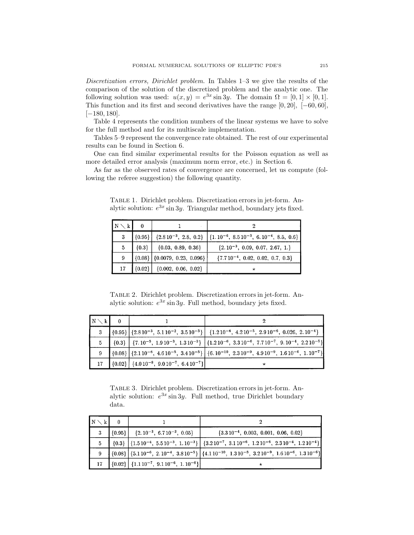*Discretization errors, Dirichlet problem.* In Tables 1–3 we give the results of the comparison of the solution of the discretized problem and the analytic one. The following solution was used:  $u(x, y) = e^{3x} \sin 3y$ . The domain  $\Omega = [0, 1] \times [0, 1]$ . This function and its first and second derivatives have the range [0, 20], [*−*60, 60], [*−*180, 180].

Table 4 represents the condition numbers of the linear systems we have to solve for the full method and for its multiscale implementation.

Tables 5–9 represent the convergence rate obtained. The rest of our experimental results can be found in Section 6.

One can find similar experimental results for the Poisson equation as well as more detailed error analysis (maximum norm error, etc.) in Section 6.

As far as the observed rates of convergence are concerned, let us compute (following the referee suggestion) the following quantity.

| $\lfloor N \setminus k \rfloor$ |                                  |                                                                                                                                     |
|---------------------------------|----------------------------------|-------------------------------------------------------------------------------------------------------------------------------------|
| $\mathbf{3}$                    |                                  | $\left[ \{0.95\} \right]$ $\left[ \{2.810^{-3}, 2.8, 0.2\} \right]$ $\left[ \{1.10^{-6}, 8.510^{-3}, 6.10^{-4}, 8.5, 0.6\} \right]$ |
| 5                               | $\{0.3\}$   {0.03, 0.89, 0.36}   | $\{2.10^{-3}, 0.09, 0.07, 2.67, 1.\}$                                                                                               |
| 9                               | $(0.08)$ {0.0079, 0.23, 0.096}   | $\{7.7\,10^{-4}, 0.02, 0.02, 0.7, 0.3\}$                                                                                            |
| 17                              | ${0.02}$ ${ 0.002, 0.06, 0.02 }$ |                                                                                                                                     |

Table 1. Dirichlet problem. Discretization errors in jet-form. Analytic solution:  $e^{3x} \sin 3y$ . Triangular method, boundary jets fixed.

Table 2. Dirichlet problem. Discretization errors in jet-form. Analytic solution:  $e^{3x} \sin 3y$ . Full method, boundary jets fixed.

| $ N \setminus k $ |                                                                                    |                                                                                                                                                                                      |
|-------------------|------------------------------------------------------------------------------------|--------------------------------------------------------------------------------------------------------------------------------------------------------------------------------------|
|                   |                                                                                    | $\left[ \{ 0.95 \} \right] \left\{ 2.8\,10^{-3},\; 5.1\,10^{-2},\; 3.5\,10^{-3} \right\} \left[ \;\; \{ 1.2\,10^{-6},\; 4.2\,10^{-5},\; 2.9\,10^{-6},\; 0.026,\; 2.10^{-4} \right\}$ |
|                   |                                                                                    | $\{0.3\}$ $\{7.10^{-5}, 1.910^{-3}, 1.310^{-3}\}$ $\{1.210^{-6}, 3.310^{-6}, 7.710^{-7}, 9.10^{-4}, 2.210^{-5}\}$                                                                    |
|                   |                                                                                    | $\left[\{0.08\}\right]\left\{2.1\,10^{-6},\ 4.6\,10^{-5},\ 3.4\,10^{-5}\right\}\left[\{6.10^{-10},\ 2.3\,10^{-9},\ 4.9\,10^{-9},\ 1.6\,10^{-6},\ 1.10^{-7}\right\}$                  |
|                   | $17 \begin{bmatrix} \{0.02\} \end{bmatrix} \{4.010^{-8}, 9.010^{-7}, 6.410^{-7}\}$ |                                                                                                                                                                                      |

Table 3. Dirichlet problem. Discretization errors in jet-form. Analytic solution:  $e^{3x} \sin 3y$ . Full method, true Dirichlet boundary data.

| $ N \setminus k $ |                                                     |                                                                                                                  |
|-------------------|-----------------------------------------------------|------------------------------------------------------------------------------------------------------------------|
|                   | 3 $\{0.95\}$ $\{2.10^{-3}, 6.710^{-3}, 0.05\}$      | $\{3.3\,10^{-4},\ 0.003,\ 0.001,\ 0.06,\ 0.02\}$                                                                 |
|                   |                                                     | 5 $(0.3)$ $(1.510^{-4}, 5.510^{-3}, 1.10^{-3})$ $(3.210^{-7}, 3.110^{-6}, 1.210^{-6}, 2.310^{-4}, 1.210^{-4})$   |
|                   |                                                     | 9 $(0.08)$ $(5.110^{-6}, 2.10^{-4}, 3.810^{-5})$ $(4.110^{-10}, 1.310^{-8}, 3.210^{-9}, 1.610^{-6}, 1.310^{-6})$ |
|                   | $17 \{0.02\} \{1.110^{-7}, 9.110^{-6}, 1.10^{-6}\}$ |                                                                                                                  |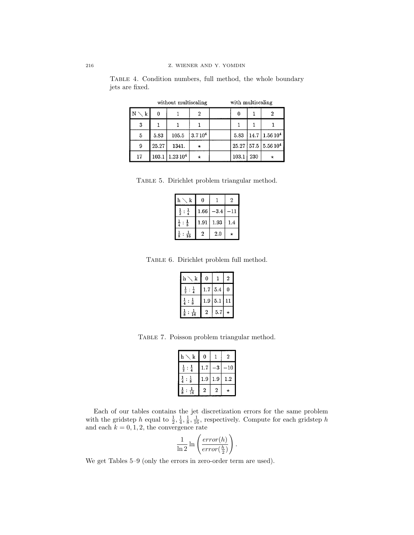|    |       | without multiscaling      |                | with multiscaling |       |     |                                     |  |  |
|----|-------|---------------------------|----------------|-------------------|-------|-----|-------------------------------------|--|--|
| k  | 0     |                           | $\overline{2}$ |                   |       |     | 2                                   |  |  |
| 3  |       |                           |                |                   |       |     |                                     |  |  |
| 5  | 5.83  | 105.5                     | $3.710^{6}$    |                   | 5.83  |     | $14.7 1.56 10^4 $                   |  |  |
| 9  | 25.27 | 1341.                     | $^\star$       |                   |       |     | 25.27   57.5   5.56 10 <sup>4</sup> |  |  |
| 17 |       | $103.1 \, \, 1.23 \,10^4$ | *              |                   | 103.1 | 230 | *                                   |  |  |

Table 4. Condition numbers, full method, the whole boundary jets are fixed.

Table 5. Dirichlet problem triangular method.

| h<br>k                                                 | 0    |      | 2   |
|--------------------------------------------------------|------|------|-----|
| $\frac{1}{2}$<br>$\frac{1}{4}$<br>$\ddot{\phantom{a}}$ | 1.66 | 3.4  | 11  |
| $\frac{1}{4}$<br>$\frac{1}{8}$                         | 1.91 | 1.93 | 1.4 |
| $\frac{1}{8}$<br>$\frac{1}{16}$                        | 2    | 2.0  | *   |

Table 6. Dirichlet problem full method.

| k<br>h                                           | 0              |     | 2        |  |  |
|--------------------------------------------------|----------------|-----|----------|--|--|
| $\frac{1}{2}$<br>$\frac{1}{4}$                   | $\cdot 7$      | 5.4 | 0        |  |  |
| $\frac{1}{4}$<br>$\frac{1}{8}$<br>$\ddot{\cdot}$ | 1.9            | 5.1 | 11       |  |  |
| $\frac{1}{8}$<br>$\frac{1}{16}$                  | $\overline{2}$ | 5.7 | $^\star$ |  |  |

TABLE 7. Poisson problem triangular method.

| k<br>h                                           | 0  |                | 2       |
|--------------------------------------------------|----|----------------|---------|
| $\frac{1}{2}$<br>$\frac{1}{4}$<br>$\ddot{\cdot}$ | -7 | 3              | $^{10}$ |
| $\frac{1}{4}$<br>$\frac{1}{8}$<br>:              | .9 | .9             | $1.2\,$ |
| $\frac{1}{8}$<br>$\frac{1}{16}$                  | 2  | $\overline{2}$ |         |

Each of our tables contains the jet discretization errors for the same problem with the gridstep h equal to  $\frac{1}{2}$ ,  $\frac{1}{4}$ ,  $\frac{1}{8}$ ,  $\frac{1}{16}$ , respectively. Compute for each gridstep h and each  $k = 0, 1, 2$ , the convergence rate

$$
\frac{1}{\ln 2} \ln \left( \frac{error(h)}{error(\frac{h}{2})} \right)
$$

.

We get Tables 5–9 (only the errors in zero-order term are used).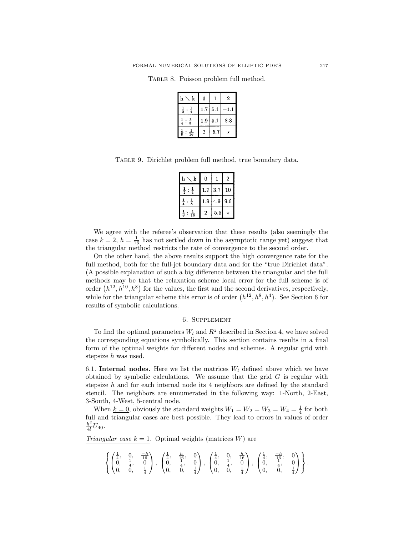TABLE 8. Poisson problem full method.

| k<br>h                                                 | 0   |     | 2        |
|--------------------------------------------------------|-----|-----|----------|
| $\frac{1}{2}$<br>$\frac{1}{4}$<br>÷                    | 1.7 | 5.1 |          |
| $\frac{1}{4}$<br>$\frac{1}{8}$<br>$\ddot{\phantom{a}}$ | 1.9 | 5.1 | 8.8      |
| $\frac{1}{8}$<br>፡<br>$\frac{1}{16}$                   | 2   | 5.7 | $^\star$ |

Table 9. Dirichlet problem full method, true boundary data.

| k<br>h                              | 0                 |         | 2   |
|-------------------------------------|-------------------|---------|-----|
| $\frac{1}{4}$<br>$\frac{1}{2}$<br>: | 7<br>$\mathbf{1}$ | 3.7     | 10  |
| $\frac{1}{4}$<br>$\frac{1}{8}$      | 1.9               | 4.9     | 9.6 |
| $\frac{1}{8}$<br>$\overline{16}$    | $\overline{2}$    | $5.5\,$ |     |

We agree with the referee's observation that these results (also seemingly the case  $k = 2$ ,  $h = \frac{1}{16}$  has not settled down in the asymptotic range yet) suggest that the triangular method restricts the rate of convergence to the second order.

On the other hand, the above results support the high convergence rate for the full method, both for the full-jet boundary data and for the "true Dirichlet data". (A possible explanation of such a big difference between the triangular and the full methods may be that the relaxation scheme local error for the full scheme is of order  $(h^{12}, h^{10}, h^{8})$  for the values, the first and the second derivatives, respectively, while for the triangular scheme this error is of order  $(h^{12}, h^8, h^4)$ . See Section 6 for results of symbolic calculations.

### 6. Supplement

To find the optimal parameters  $W_l$  and  $R^z$  described in Section 4, we have solved the corresponding equations symbolically. This section contains results in a final form of the optimal weights for different nodes and schemes. A regular grid with stepsize h was used.

6.1. **Internal nodes.** Here we list the matrices  $W_l$  defined above which we have obtained by symbolic calculations. We assume that the grid  $G$  is regular with stepsize h and for each internal node its 4 neighbors are defined by the standard stencil. The neighbors are ennumerated in the following way: 1-North, 2-East, 3-South, 4-West, 5-central node.

When <u> $k = 0$ </u>, obviously the standard weights  $W_1 = W_2 = W_3 = W_4 = \frac{1}{4}$  for both full and triangular cases are best possible. They lead to errors in values of order  $\frac{h^2}{4!}U_{40}.$ 

*Triangular case*  $k = 1$ . Optimal weights (matrices W) are

$$
\left\{ \begin{pmatrix} \frac{1}{4}, & 0, & \frac{-h}{16} \\ 0, & \frac{1}{4}, & 0 \\ 0, & 0, & \frac{1}{4} \end{pmatrix}, \begin{pmatrix} \frac{1}{4}, & \frac{h}{16}, & 0 \\ 0, & \frac{1}{4}, & 0 \\ 0, & 0, & \frac{1}{4} \end{pmatrix}, \begin{pmatrix} \frac{1}{4}, & 0, & \frac{h}{16} \\ 0, & \frac{1}{4}, & 0 \\ 0, & 0, & \frac{1}{4} \end{pmatrix}, \begin{pmatrix} \frac{1}{4}, & \frac{-h}{16}, & 0 \\ 0, & \frac{1}{4}, & 0 \\ 0, & 0, & \frac{1}{4} \end{pmatrix} \right\}.
$$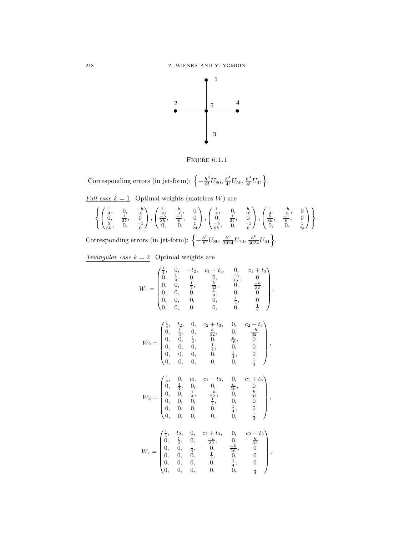

Figure 6.1.1

Corresponding errors (in jet-form):  $\left\{-\frac{h^8}{8!}U_{80}, \frac{h^4}{4!}U_{50}, \frac{h^4}{4!}U_{41}\right\}$ .

*<u>Full case*  $k = 1$ *</u>. Optimal weights (matrices W) are* 

$$
\left\{ \begin{pmatrix} \frac{1}{4}, & 0, & \frac{-h}{16} \\ 0, & \frac{1}{24}, & 0 \\ \frac{5}{8h}, & 0, & \frac{-1}{6} \end{pmatrix}, \begin{pmatrix} \frac{1}{4}, & \frac{h}{16}, & 0 \\ \frac{-5}{8h}, & \frac{-1}{6}, & 0 \\ 0, & 0, & \frac{1}{24} \end{pmatrix}, \begin{pmatrix} \frac{1}{4}, & 0, & \frac{h}{16} \\ 0, & \frac{1}{24}, & 0 \\ \frac{-5}{8h}, & 0, & \frac{-1}{6} \end{pmatrix}, \begin{pmatrix} \frac{1}{4}, & \frac{-h}{16}, & 0 \\ \frac{5}{8h}, & \frac{-1}{6}, & 0 \\ 0, & 0, & \frac{1}{24} \end{pmatrix} \right\}.
$$
  
Corresponding errors (in jet-form):  $\left\{ -\frac{h^8}{8!} U_{80}, \frac{h^6}{3024} U_{70}, \frac{h^6}{3024} U_{61} \right\}.$ 

*Triangular case*  $k = 2$ . Optimal weights are

$$
W_1 = \begin{pmatrix} \frac{1}{4}, & 0, & -t_2, & c_1 - t_3, & 0, & c_1 + t_3 \\ 0, & \frac{1}{4}, & 0, & 0, & \frac{-h}{16}, & 0 \\ 0, & 0, & \frac{1}{4}, & \frac{h}{32}, & 0, & \frac{-h}{32} \\ 0, & 0, & 0, & \frac{1}{4}, & 0, & 0 \\ 0, & 0, & 0, & 0, & \frac{1}{4}, & 0 \\ 0, & 0, & 0, & 0, & \frac{1}{4}, & 0 \end{pmatrix},
$$
  
\n
$$
W_2 = \begin{pmatrix} \frac{1}{4}, & t_2, & 0, & c_2 + t_3, & 0, & c_2 - t_3 \\ 0, & \frac{1}{4}, & 0, & \frac{h}{22}, & 0, & \frac{-h}{32} \\ 0, & 0, & \frac{1}{4}, & 0, & \frac{h}{16}, & 0 \\ 0, & 0, & 0, & \frac{1}{4}, & 0, & 0 \\ 0, & 0, & 0, & 0, & \frac{1}{4}, & 0 \\ 0, & 0, & 0, & 0, & \frac{1}{4}, & 0 \end{pmatrix},
$$
  
\n
$$
W_3 = \begin{pmatrix} \frac{1}{4}, & 0, & t_2, & c_1 - t_3, & 0, & c_1 + t_3 \\ 0, & \frac{1}{4}, & 0, & 0, & \frac{h}{16}, & 0 \\ 0, & 0, & \frac{1}{4}, & \frac{-h}{32}, & 0, & \frac{h}{32} \\ 0, & 0, & 0, & \frac{1}{4}, & 0, & 0 \\ 0, & 0, & 0, & 0, & \frac{1}{4}, & 0 \\ 0, & 0, & 0, & 0, & \frac{1}{4}, & 0 \end{pmatrix},
$$
  
\n
$$
W_4 = \begin{pmatrix} \frac{1}{4}, & t_2, & 0, & c_2 + t_3, & 0, & c_2 - t_3 \\ 0, & \frac{1}{4}, & 0, & \frac{-h}{32}, & 0, & \frac{h}{32} \\ 0, & 0, & \frac{1}{4}, & 0, & \frac{-h
$$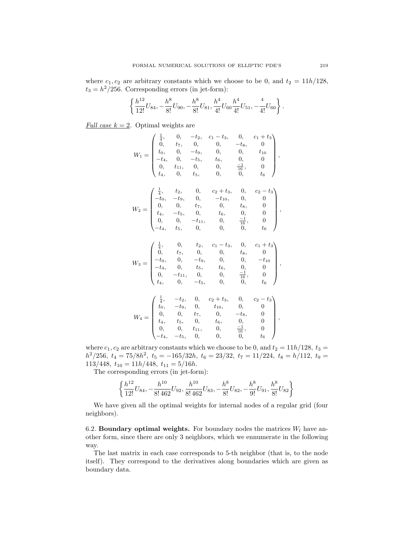where  $c_1, c_2$  are arbitrary constants which we choose to be 0, and  $t_2 = 11h/128$ ,  $t_3 = h^2/256$ . Corresponding errors (in jet-form):

$$
\left\{\frac{h^{12}}{12!}U_{84}, -\frac{h^8}{8!}U_{90}, -\frac{h^8}{8!}U_{81}, \frac{h^4}{4!}U_{60}\frac{h^4}{4!}U_{51}, -\frac{4}{4!}U_{60}\right\}.
$$

*Full case*  $k = 2$ . Optimal weights are

$$
W_1 = \begin{pmatrix} \frac{1}{4}, & 0, & -t_2, & c_1 - t_3, & 0, & c_1 + t_3 \\ 0, & t_7, & 0, & 0, & -t_8, & 0 \\ t_0, & 0, & -t_9, & 0, & 0, & t_{10} \\ -t_4, & 0, & -t_5, & t_6, & 0, & 0 \\ 0, & t_{11}, & 0, & 0, & \frac{-1}{16}, & 0 \\ t_4, & 0, & t_5, & 0, & 0, & t_6 \end{pmatrix},
$$
  
\n
$$
W_2 = \begin{pmatrix} \frac{1}{4}, & t_2, & 0, & c_2 + t_3, & 0, & c_2 - t_3 \\ -t_0, & -t_9, & 0, & -t_{10}, & 0, & 0 \\ 0, & 0, & t_7, & 0, & t_8, & 0 \\ t_4, & -t_5, & 0, & t_6, & 0, & 0 \\ 0, & 0, & -t_{11}, & 0, & \frac{-1}{16}, & 0 \\ -t_4, & t_5, & 0, & 0, & 0, & t_6 \end{pmatrix},
$$
  
\n
$$
W_3 = \begin{pmatrix} \frac{1}{4}, & 0, & t_2, & c_1 - t_3, & 0, & c_1 + t_3 \\ 0, & t_7, & 0, & 0, & t_8, & 0 \\ -t_0, & 0, & -t_9, & 0, & 0, & -t_{10} \\ -t_4, & 0, & t_5, & t_6, & 0, & 0 \\ 0, & -t_{11}, & 0, & 0, & \frac{-1}{16}, & 0 \\ t_4, & 0, & -t_5, & 0, & 0, & t_6 \end{pmatrix},
$$
  
\n
$$
W_4 = \begin{pmatrix} \frac{1}{4}, & -t_2, & 0, & c_2 + t_3, & 0, & c_2 - t_3 \\ t_0, & -t_9, & 0, & t_{10}, & 0, & 0 \\ 0, & 0, & t_7, & 0, & -t_8, & 0 \\ 0, & 0, & t_7, & 0, & -t_8, & 0 \\ 0, & 0, & t_{11}, &
$$

where  $c_1, c_2$  are arbitrary constants which we choose to be 0, and  $t_2 = 11h/128$ ,  $t_3 =$  $h^2/256$ ,  $t_4 = 75/8h^2$ ,  $t_5 = -165/32h$ ,  $t_6 = 23/32$ ,  $t_7 = 11/224$ ,  $t_8 = h/112$ ,  $t_9 =$ 113/448,  $t_{10} = 11h/448$ ,  $t_{11} = 5/16h$ .

The corresponding errors (in jet-form):

$$
\left\{\frac{h^{12}}{12!}U_{84},-\frac{h^{10}}{8! \cdot 462}U_{92},\frac{h^{10}}{8! \cdot 462}U_{83},-\frac{h^{8}}{8!}U_{82},-\frac{h^{8}}{9!}U_{91},\frac{h^{8}}{8!}U_{82}\right\}
$$

We have given all the optimal weights for internal nodes of a regular grid (four neighbors).

6.2. **Boundary optimal weights.** For boundary nodes the matrices  $W_l$  have another form, since there are only 3 neighbors, which we ennumerate in the following way.

The last matrix in each case corresponds to 5-th neighbor (that is, to the node itself). They correspond to the derivatives along boundaries which are given as boundary data.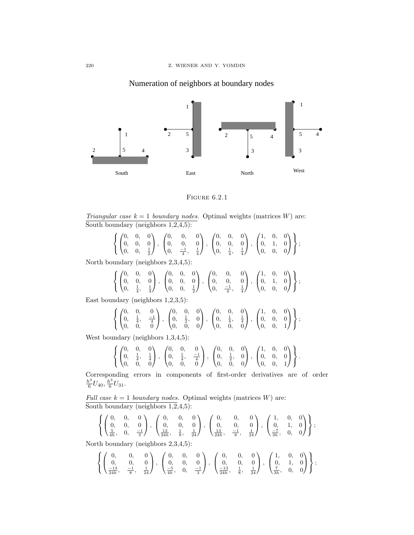# Numeration of neighbors at boundary nodes



Figure 6.2.1

*Triangular case*  $k = 1$  *boundary nodes.* Optimal weights (matrices  $W$ ) are: South boundary (neighbors 1,2,4,5):

| $\left\{\begin{pmatrix} 0,&0,&0\\ 0,&0,&0& \\ 0,&0,&\frac{1}{2} \end{pmatrix},\ \begin{pmatrix} 0,&0,&0\\ 0,&0,&0\\ 0,&\frac{-1}{4},&\frac{1}{4} \end{pmatrix},\ \begin{pmatrix} 0,&0,&0\\ 0,&0,&0\\ 0,&\frac{1}{4},&\frac{1}{4} \end{pmatrix},\ \begin{pmatrix} 1,&0,&0\\ 0,&1,&0\\ 0,&0,&0 \end{pmatrix} \right\};$ |  |  |  |  |  |  |
|-----------------------------------------------------------------------------------------------------------------------------------------------------------------------------------------------------------------------------------------------------------------------------------------------------------------------|--|--|--|--|--|--|
|                                                                                                                                                                                                                                                                                                                       |  |  |  |  |  |  |

North boundary (neighbors 2,3,4,5):

$$
\left\{ \begin{pmatrix} 0, & 0, & 0 \\ 0, & 0, & 0 \\ 0, & \frac{1}{4}, & \frac{1}{4} \end{pmatrix}, \begin{pmatrix} 0, & 0, & 0 \\ 0, & 0, & 0 \\ 0, & 0, & \frac{1}{2} \end{pmatrix}, \begin{pmatrix} 0, & 0, & 0 \\ 0, & 0, & 0 \\ 0, & \frac{-1}{4}, & \frac{1}{4} \end{pmatrix}, \begin{pmatrix} 1, & 0, & 0 \\ 0, & 1, & 0 \\ 0, & 0, & 0 \end{pmatrix} \right\};
$$

East boundary (neighbors  $1,2,3,5$ ):

$$
\left\{ \begin{pmatrix} 0, & 0, & 0 \\ 0, & \frac{1}{4}, & \frac{-1}{4} \\ 0, & 0, & 0 \end{pmatrix}, \begin{pmatrix} 0, & 0, & 0 \\ 0, & \frac{1}{2}, & 0 \\ 0, & 0, & 0 \end{pmatrix}, \begin{pmatrix} 0, & 0, & 0 \\ 0, & \frac{1}{4}, & \frac{1}{4} \\ 0, & 0, & 0 \end{pmatrix}, \begin{pmatrix} 1, & 0, & 0 \\ 0, & 0, & 0 \\ 0, & 0, & 1 \end{pmatrix} \right\};
$$

West boundary (neighbors 1,3,4,5):

$$
\left\{ \begin{pmatrix} 0, & 0, & 0 \\ 0, & \frac{1}{4}, & \frac{1}{4} \\ 0, & 0, & 0 \end{pmatrix}, \begin{pmatrix} 0, & 0, & 0 \\ 0, & \frac{1}{4}, & \frac{-1}{4} \\ 0, & 0, & 0 \end{pmatrix}, \begin{pmatrix} 0, & 0, & 0 \\ 0, & \frac{1}{2}, & 0 \\ 0, & 0, & 0 \end{pmatrix}, \begin{pmatrix} 1, & 0, & 0 \\ 0, & 0, & 0 \\ 0, & 0, & 1 \end{pmatrix} \right\}.
$$

Corresponding errors in components of first-order derivatives are of order  $\frac{h^3}{6}U_{40}, \frac{h^3}{6}U_{31}.$ 

*Full case*  $k = 1$  *boundary nodes.* Optimal weights (matrices  $W$ ) are: South boundary (neighbors  $1,2,4,5$ ):

$$
\left\{ \begin{pmatrix} 0, & 0, & 0 \\ 0, & 0, & 0 \\ \frac{5}{4h}, & 0, & \frac{-1}{3} \end{pmatrix}, \begin{pmatrix} 0, & 0, & 0 \\ 0, & 0, & 0 \\ \frac{13}{24h}, & \frac{1}{8}, & \frac{1}{24} \end{pmatrix}, \begin{pmatrix} 0, & 0, & 0 \\ 0, & 0, & 0 \\ \frac{13}{24h}, & \frac{-1}{8}, & \frac{1}{24} \end{pmatrix}, \begin{pmatrix} 1, & 0, & 0 \\ 0, & 1, & 0 \\ \frac{-7}{3h}, & 0, & 0 \end{pmatrix} \right\};
$$

North boundary (neighbors 2,3,4,5):

 $\mathbf{r}$ 

$$
\left\{ \begin{pmatrix} 0, & 0, & 0 \\ 0, & 0, & 0 \\ \frac{-13}{24h}, & \frac{-1}{8}, & \frac{1}{24} \end{pmatrix}, \begin{pmatrix} 0, & 0, & 0 \\ 0, & 0, & 0 \\ \frac{-5}{4h}, & 0, & \frac{-1}{3} \end{pmatrix}, \begin{pmatrix} 0, & 0, & 0 \\ 0, & 0, & 0 \\ \frac{-13}{24h}, & \frac{1}{8}, & \frac{1}{24} \end{pmatrix}, \begin{pmatrix} 1, & 0, & 0 \\ 0, & 1, & 0 \\ \frac{7}{3h}, & 0, & 0 \end{pmatrix} \right\};
$$

 $\sqrt{2}$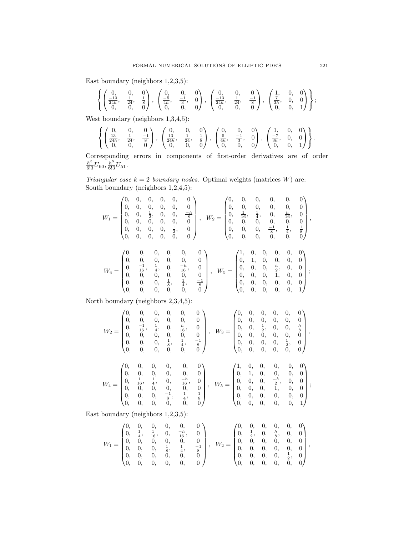East boundary (neighbors 1,2,3,5):

$$
\left\{ \begin{pmatrix} 0, & 0, & 0 \\ \frac{-13}{24h}, & \frac{1}{24}, & \frac{1}{8} \\ 0, & 0, & 0 \end{pmatrix}, \begin{pmatrix} 0, & 0, & 0 \\ \frac{-5}{4h}, & \frac{-1}{3}, & 0 \\ 0, & 0, & 0 \end{pmatrix}, \begin{pmatrix} 0, & 0, & 0 \\ \frac{-13}{24h}, & \frac{1}{24}, & \frac{-1}{8} \\ 0, & 0, & 0 \end{pmatrix}, \begin{pmatrix} 1, & 0, & 0 \\ \frac{7}{3h}, & 0, & 0 \\ 0, & 0, & 1 \end{pmatrix} \right\};
$$

West boundary (neighbors 1,3,4,5):

$$
\left\{ \begin{pmatrix} 0, & 0, & 0 \\ \frac{13}{24h}, & \frac{1}{24}, & \frac{-1}{8} \\ 0, & 0, & 0 \end{pmatrix}, \begin{pmatrix} 0, & 0, & 0 \\ \frac{13}{24h}, & \frac{1}{24}, & \frac{1}{8} \\ 0, & 0, & 0 \end{pmatrix}, \begin{pmatrix} 0, & 0, & 0 \\ \frac{5}{4h}, & \frac{-1}{3}, & 0 \\ 0, & 0, & 0 \end{pmatrix}, \begin{pmatrix} 1, & 0, & 0 \\ \frac{-7}{3h}, & 0, & 0 \\ 0, & 0, & 1 \end{pmatrix} \right\}.
$$

Corresponding errors in components of first-order derivatives are of order  $\frac{h^5}{6!3}U_{60}, \frac{h^5}{6!3}U_{51}.$ 

*Triangular case*  $k = 2$  *boundary nodes.* Optimal weights (matrices  $W$ ) are: South boundary (neighbors 1,2,4,5):

*W*<sup>1</sup> = 0*,* 0*,* 0*,* 0*,* 0*,* 0 0*,* 0*,* 0*,* 0*,* 0*,* 0 0*,* 0*,* <sup>1</sup> <sup>2</sup> *,* 0*,* 0*, <sup>−</sup>*<sup>h</sup> 8 0*,* 0*,* 0*,* 0*,* 0*,* 0 0*,* 0*,* 0*,* 0*,* <sup>1</sup> <sup>2</sup> *,* 0 0*,* 0*,* 0*,* 0*,* 0*,* 0 *, W*<sup>2</sup> = 0*,* 0*,* 0*,* 0*,* 0*,* 0 0*,* 0*,* 0*,* 0*,* 0*,* 0 0*,* <sup>1</sup> <sup>16</sup> *,* <sup>1</sup> <sup>4</sup> *,* 0*,* <sup>h</sup> <sup>16</sup> *,* 0 0*,* 0*,* 0*,* 0*,* 0*,* 0 0*,* 0*,* 0*, <sup>−</sup>*<sup>1</sup> <sup>8</sup> *,* <sup>1</sup> <sup>4</sup> *,* <sup>1</sup> 8 0*,* 0*,* 0*,* 0*,* 0*,* 0 *, W*<sup>4</sup> = 0*,* 0*,* 0*,* 0*,* 0*,* 0 0*,* 0*,* 0*,* 0*,* 0*,* 0 0*, <sup>−</sup>*<sup>1</sup> <sup>16</sup> *,* <sup>1</sup> <sup>4</sup> *,* 0*, <sup>−</sup>*<sup>h</sup> <sup>16</sup> *,* 0 0*,* 0*,* 0*,* 0*,* 0*,* 0 0*,* 0*,* 0*,* <sup>1</sup> <sup>8</sup> *,* <sup>1</sup> <sup>4</sup> *, <sup>−</sup>*<sup>1</sup> 8 0*,* 0*,* 0*,* 0*,* 0*,* 0 *, W*<sup>5</sup> = 1*,* 0*,* 0*,* 0*,* 0*,* 0 0*,* 1*,* 0*,* 0*,* 0*,* 0 0*,* 0*,* 0*,* <sup>h</sup> <sup>2</sup> *,* 0*,* 0 0*,* 0*,* 0*,* 1*,* 0*,* 0 0*,* 0*,* 0*,* 0*,* 0*,* 0 0*,* 0*,* 0*,* 0*,* 0*,* 1 ;

North boundary (neighbors 2,3,4,5):

$$
W_2 = \begin{pmatrix} 0, & 0, & 0, & 0, & 0, & 0 \\ 0, & 0, & 0, & 0, & 0, & 0 \\ 0, & \frac{-1}{16}, & \frac{1}{4}, & 0, & \frac{h}{16}, & 0 \\ 0, & 0, & 0, & 0, & 0, & 0 \\ 0, & 0, & 0, & \frac{1}{8}, & \frac{1}{4}, & \frac{-1}{8} \\ 0, & 0, & 0, & 0, & 0, & 0 \end{pmatrix}, W_3 = \begin{pmatrix} 0, & 0, & 0, & 0, & 0, & 0 \\ 0, & 0, & 0, & 0, & 0, & 0 \\ 0, & 0, & \frac{1}{2}, & 0, & 0, & \frac{h}{8} \\ 0, & 0, & 0, & 0, & 0, & 0 \\ 0, & 0, & 0, & 0, & 0, & 0 \\ 0, & 0, & 0, & 0, & 0, & 0 \end{pmatrix}, W_4 = \begin{pmatrix} 1, & 0, & 0, & 0, & 0, & 0 \\ 0, & 0, & 0, & 0, & 0, & \frac{h}{8} \\ 0, & 0, & 0, & 0, & 0, & \frac{1}{2}, & 0 \\ 0, & 0, & 0, & 0, & 0, & 0 \\ 0, & 0, & 0, & 0, & 0, & 0 \\ 0, & 0, & 0, & 0, & 0, & 0 \end{pmatrix}, W_5 = \begin{pmatrix} 1, & 0, & 0, & 0, & 0, & 0 \\ 0, & 1, & 0, & 0, & 0, & 0 \\ 0, & 0, & 0, & \frac{-h}{2}, & 0, & 0 \\ 0, & 0, & 0, & \frac{-h}{2}, & 0, & 0 \\ 0, & 0, & 0, & 0, & 0, & 0 \\ 0, & 0, & 0, & 0, & 0, & 0 \end{pmatrix};
$$

East boundary (neighbors 1,2,3,5):

*W*<sup>1</sup> = 0*,* 0*,* 0*,* 0*,* 0*,* 0 0*,* <sup>1</sup> <sup>4</sup> *,* <sup>1</sup> <sup>16</sup> *,* 0*, <sup>−</sup>*<sup>h</sup> <sup>16</sup> *,* 0 0*,* 0*,* 0*,* 0*,* 0*,* 0 0*,* 0*,* 0*,* <sup>1</sup> <sup>8</sup> *,* <sup>1</sup> <sup>4</sup> *, <sup>−</sup>*<sup>1</sup> 8 0*,* 0*,* 0*,* 0*,* 0*,* 0 0*,* 0*,* 0*,* 0*,* 0*,* 0 *, W*<sup>2</sup> = 0*,* 0*,* 0*,* 0*,* 0*,* 0 0*,* <sup>1</sup> <sup>2</sup> *,* 0*,* <sup>h</sup> <sup>8</sup> *,* 0*,* 0 0*,* 0*,* 0*,* 0*,* 0*,* 0 0*,* 0*,* 0*,* 0*,* 0*,* 0 0*,* 0*,* 0*,* 0*,* <sup>1</sup> <sup>2</sup> *,* 0 0*,* 0*,* 0*,* 0*,* 0*,* 0 *,*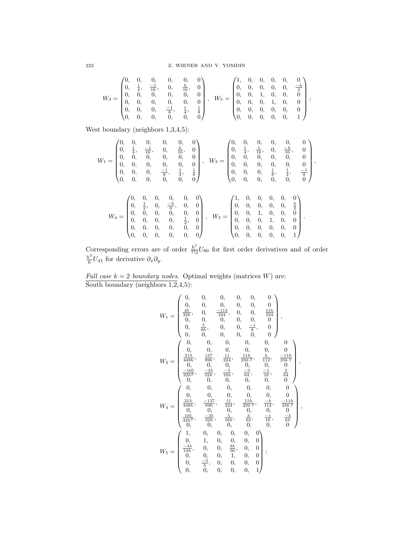*W*<sup>3</sup> = *,* 0*,* 0*,* 0*,* 0*,* 0 *,* <sup>1</sup> *, <sup>−</sup>*<sup>1</sup> *,* 0*,* <sup>h</sup> *,* 0 *,* 0*,* 0*,* 0*,* 0*,* 0 *,* 0*,* 0*,* 0*,* 0*,* 0 *,* 0*,* 0*, <sup>−</sup>*<sup>1</sup> *,* <sup>1</sup> *,* <sup>1</sup> *,* 0*,* 0*,* 0*,* 0*,* 0 *, W*<sup>5</sup> = *,* 0*,* 0*,* 0*,* 0*,* 0 *,* 0*,* 0*,* 0*,* 0*, <sup>−</sup>*<sup>h</sup> *,* 0*,* 1*,* 0*,* 0*,* 0 *,* 0*,* 0*,* 1*,* 0*,* 0 *,* 0*,* 0*,* 0*,* 0*,* 0 *,* 0*,* 0*,* 0*,* 0*,* 1 ;

West boundary (neighbors 1,3,4,5):

$$
W_1 = \begin{pmatrix} 0, & 0, & 0, & 0, & 0, & 0 \\ 0, & \frac{1}{4}, & \frac{-1}{16}, & 0, & \frac{h}{16}, & 0 \\ 0, & 0, & 0, & 0, & 0, & 0 \\ 0, & 0, & 0, & 0, & 0, & 0 \\ 0, & 0, & 0, & 0, & 0, & 0 \end{pmatrix}, W_3 = \begin{pmatrix} 0, & 0, & 0, & 0, & 0, & 0 \\ 0, & \frac{1}{4}, & \frac{1}{16}, & 0, & \frac{-h}{16}, & 0 \\ 0, & 0, & 0, & 0, & 0, & 0 \\ 0, & 0, & 0, & 0, & 0, & 0 \\ 0, & 0, & 0, & 0, & 0, & 0 \\ 0, & 0, & 0, & 0, & 0, & 0 \end{pmatrix}, W_4 = \begin{pmatrix} 0, & 0, & 0, & 0, & 0, & 0 \\ 0, & \frac{1}{4}, & \frac{1}{16}, & 0, & \frac{-h}{16}, & 0 \\ 0, & 0, & 0, & 0, & 0, & 0 \\ 0, & 0, & 0, & 0, & 0, & 0 \\ 0, & 0, & 0, & 0, & 0, & 0 \\ 0, & 0, & 0, & 0, & 0, & 0 \end{pmatrix}, W_5 = \begin{pmatrix} 1, & 0, & 0, & 0, & 0, & 0 \\ 0, & 0, & 0, & 0, & 0, & 0 \\ 0, & 0, & 0, & 0, & 0, & \frac{h}{2} \\ 0, & 0, & 1, & 0, & 0, & 0 \\ 0, & 0, & 0, & 1, & 0, & 0 \\ 0, & 0, & 0, & 0, & 0, & 0 \end{pmatrix}.
$$

Corresponding errors are of order  $\frac{h^7}{7!2}U_{80}$  for first order derivatives and of order  $\frac{h^3}{6}U_{41}$  for derivative  $\partial_x \partial_y$ .

*Full case*  $k = 2$  *boundary nodes.* Optimal weights (matrices  $W$ ) are: South boundary (neighbors 1,2,4,5):

$$
W_1 = \begin{pmatrix} 0, & 0, & 0, & 0, & 0, & 0 \\ 0, & 0, & 0, & 0, & 0, & 0 \\ \frac{45}{32h}, & 0, & \frac{-113}{224}, & 0, & 0, & \frac{11h}{224} \\ 0, & 0, & 0, & 0, & 0, & 0 \\ 0, & \frac{5}{8h}, & 0, & 0, & \frac{-1}{8}, & 0 \\ 0, & 0, & 0, & 0, & 0, & 0 \\ 0, & 0, & 0, & 0, & 0, & 0 \\ \frac{213}{448h}, & \frac{137}{896}, & \frac{11}{224}, & \frac{11h}{256 \cdot 7}, & \frac{11}{112}, & \frac{-11h}{256 \cdot 7} \\ 0, & 0, & 0, & 0, & 0, & 0 \\ \frac{-105}{32h^2}, & \frac{-35}{32h}, & \frac{-5}{16h}, & \frac{-3}{64}, & \frac{-1}{16}, & \frac{3}{64} \\ 0, & 0, & 0, & 0, & 0, & 0 \\ 0, & 0, & 0, & 0, & 0, & 0 \\ 0, & 0, & 0, & 0, & 0, & 0 \\ \frac{213}{448h}, & \frac{-137}{896}, & \frac{-13}{224}, & \frac{11h}{256 \cdot 7}, & \frac{-11}{16}, & \frac{3}{64} \\ 0, & 0, & 0, & 0, & 0, & 0 \\ 0, & 0, & 0, & 0, & 0, & 0 \\ \frac{131}{48h}, & \frac{-137}{896}, & \frac{11}{224}, & \frac{11h}{256 \cdot 7}, & \frac{-11}{12}, & \frac{-11h}{256 \cdot 7} \\ 0, & 0, & 0, & 0, & 0, & 0 \\ \frac{105}{32h^2}, & \frac{-35}{32h}, & \frac{5}{16h}, & \frac{3}{64}, & \frac{-1}{16}, & \frac{-11h}{64} \\ 0, & 0, & 0, & 0, & 0, & 0 \\ 0, & 0, & 0, & 0, & 0
$$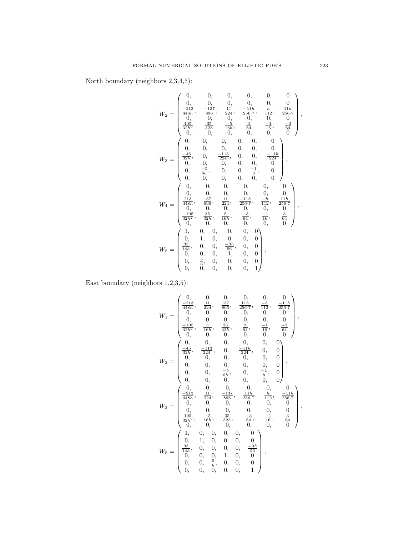North boundary (neighbors 2,3,4,5):

$$
W_2 = \begin{pmatrix} 0, & 0, & 0, & 0, & 0, & 0 \\ 0, & 0, & 0, & 0, & 0, & 0 \\ \frac{-213}{448h}, & \frac{-137}{896}, & \frac{11}{224}, & \frac{-11h}{256\cdot7}, & \frac{h}{112}, & \frac{11h}{256\cdot7} \\ \frac{105}{32h^2}, & \frac{35}{32h}, & \frac{-5}{16h}, & \frac{3}{64}, & \frac{-1}{16}, & \frac{-3}{64} \\ 0, & 0, & 0, & 0, & 0, & 0 \\ 0, & 0, & 0, & 0, & 0, & 0 \\ \frac{-45}{32h}, & 0, & \frac{-113}{224}, & 0, & 0, & \frac{-11h}{224} \\ 0, & 0, & 0, & 0, & 0, & \frac{-11}{224} \\ 0, & 0, & 0, & 0, & 0, & 0 \\ 0, & \frac{-5h}{8h}, & 0, & 0, & \frac{-1}{8}, & 0 \\ 0, & 0, & 0, & 0, & 0, & 0 \\ 0, & \frac{-5h}{8h}, & 0, & 0, & 0, & 0 \\ 0, & 0, & 0, & 0, & 0, & 0 \\ \frac{213}{448h}, & \frac{137}{896}, & \frac{11}{224}, & \frac{-11h}{256\cdot7}, & \frac{-h}{12}, & \frac{11h}{256\cdot7} \\ \frac{-105}{10}, & 0, & 0, & 0, & 0, & 0 \\ 0, & 0, & 0, & 0, & 0, & 0 \\ \frac{-105}{32h^2}, & \frac{5}{32h}, & \frac{5}{16h}, & \frac{-3}{64}, & \frac{-1}{16}, & \frac{3}{64} \\ 0, & 0, & 0, & 0, & 0 \\ 0, & 1, & 0, & 0, & 0, & 0 \\ 0, & \frac{5}{h}, & 0, & 0, & 0, & 0 \\ 0, & 0, & 0, & 0, & 0, & 0 \\ 0, & \frac{5}{h}, & 0, & 0, & 0, & 0 \\ 0
$$

East boundary (neighbors 1,2,3,5):

$$
W_1 = \begin{pmatrix} 0, & 0, & 0, & 0, & 0, & 0 \\ \frac{-213}{448h}, & \frac{11}{224}, & \frac{137}{896}, & \frac{11h}{256\cdot7}, & \frac{-h}{112}, & \frac{-11h}{256\cdot7} \\ 0, & 0, & 0, & 0, & 0, & 0 \\ 0, & 0, & 0, & 0, & 0, & 0 \\ \frac{-105}{32h^2}, & \frac{5}{16h}, & \frac{35}{32h}, & \frac{3}{64}, & \frac{-1}{16}, & -\frac{3}{64} \\ 0, & 0, & 0, & 0, & 0, & 0 \\ 0, & 0, & 0, & 0, & 0, & 0 \\ 0, & 0, & 0, & 0, & 0, & 0 \\ 0, & 0, & 0, & 0, & 0, & 0 \\ 0, & 0, & \frac{-5}{8h}, & 0, & -\frac{11}{8}, & 0 \\ 0, & 0, & 0, & 0, & 0, & 0 \\ 0, & 0, & \frac{-5}{8h}, & 0, & -\frac{1}{8}, & 0 \\ 0, & 0, & 0, & 0, & 0, & 0 \\ \frac{-213}{448h}, & \frac{11}{124}, & \frac{-137}{896}, & \frac{11h}{256\cdot7}, & \frac{h}{112}, & \frac{-11h}{256\cdot7} \\ 0, & 0, & 0, & 0, & 0, & 0 \\ 0, & 0, & 0, & 0, & 0, & 0 \\ 0, & 0, & 0, & 0, & 0, & 0 \\ \frac{105}{32h^2}, & \frac{-5}{16h}, & \frac{35}{32h}, & \frac{-3}{64}, & \frac{-1}{16}, & \frac{3}{64} \\ 0, & 0, & 0, & 0, & 0 \\ 0, & 0, & 0, & 0, & 0 \\ 0, & 0, & 0, & 0, & 0 \\ 0, & 0, & 0, & 0, & 0 \\ 0, & 0, & 0, & 0, & \frac{-3h}{56} \\ 0, & 0, & 0, & 0, & 0 \\ 0, & 0, &
$$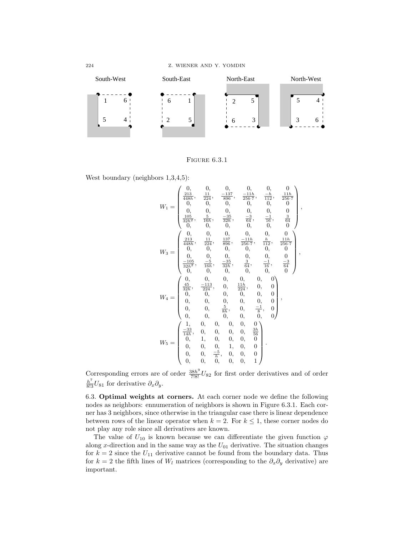

FIGURE  $6.3.1$ 

West boundary (neighbors 1,3,4,5):

$$
W_1 = \begin{pmatrix} 0, & 0, & 0, & 0, & 0, & 0 \\ \frac{213}{448h}, & \frac{11}{224}, & \frac{-137}{896}, & \frac{-11h}{256+7}, & \frac{-11}{112}, & \frac{11h}{256+7} \\ 0, & 0, & 0, & 0, & 0, & 0 \\ 0, & 0, & 0, & 0, & 0, & 0 \\ \frac{105}{32h^2}, & \frac{5}{16h}, & \frac{-35}{32h}, & \frac{-3}{64}, & \frac{-1}{16}, & \frac{3}{64} \\ 0, & 0, & 0, & 0, & 0, & 0 \\ 0, & 0, & 0, & 0, & 0, & 0 \\ 0, & 0, & 0, & 0, & 0, & 0 \\ \frac{213}{448h}, & \frac{11}{224}, & \frac{137}{896}, & \frac{-11h}{256+7}, & \frac{h}{112}, & \frac{11h}{256+7} \\ 0, & 0, & 0, & 0, & 0, & 0 \\ 0, & 0, & 0, & 0, & 0, & 0 \\ \frac{-105}{32h^2}, & \frac{-5}{16h}, & \frac{-33}{32h}, & \frac{-3}{64}, & \frac{-1}{16}, & \frac{-3}{64} \\ 0, & 0, & 0, & 0, & 0, & 0 \\ 0, & 0, & 0, & 0, & 0, & 0 \\ 0, & 0, & 0, & 0, & 0, & 0 \\ 0, & 0, & 0, & 0, & 0, & 0 \\ 0, & 0, & \frac{5}{8h}, & 0, & \frac{-1}{8}, & 0 \\ 0, & 0, & 0, & 0, & 0, & 0 \\ 0, & 0, & \frac{5}{8h}, & 0, & \frac{-1}{8}, & 0 \\ 0, & 0, & 0, & 0, & 0, & 0 \\ 0, & 0, & 0, & 0, & 0, & 0 \\ 0, & 0, & 0, & 0, & 0, & 0 \\ 0, & 0, & 0, & 0, & 0, & 0 \\ 0, & 0, & \frac{-5}{14}, & 0, &
$$

Corresponding errors are of order  $\frac{38h^9}{7!8!}U_{82}$  for first order derivatives and of order  $\frac{h^7}{8!3}U_{81}$  for derivative  $\partial_x\partial_y$ .

6.3. **Optimal weights at corners.** At each corner node we define the following nodes as neighbors: ennumeration of neighbors is shown in Figure 6.3.1. Each corner has 3 neighbors, since otherwise in the triangular case there is linear dependence between rows of the linear operator when  $k = 2$ . For  $k \leq 1$ , these corner nodes do not play any role since all derivatives are known.

The value of  $U_{10}$  is known because we can differentiate the given function  $\varphi$ along x-direction and in the same way as the  $U_{01}$  derivative. The situation changes for  $k = 2$  since the  $U_{11}$  derivative cannot be found from the boundary data. Thus for  $k = 2$  the fifth lines of  $W_l$  matrices (corresponding to the  $\partial_x \partial_y$  derivative) are important.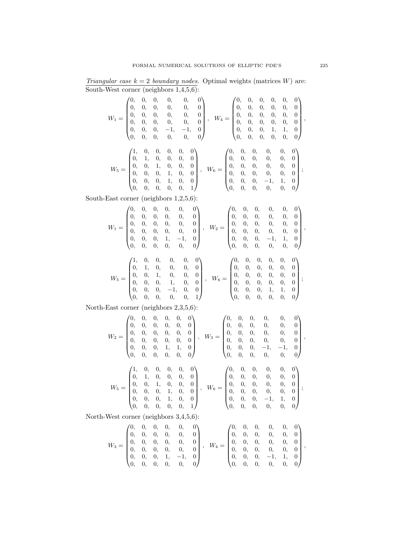*Triangular case*  $k = 2$  *boundary nodes.* Optimal weights (matrices W) are: South-West corner (neighbors 1,4,5,6):

|         | (0,<br>0,<br>0,<br>0,<br>0,<br>0.                                      | 0,<br>0, 0,<br>0,<br>0,<br>0, | 0,<br>0, 0, 0,<br>0,<br>0,<br>0, | $\hspace{0.1em}0,$<br>0,<br>0,<br>$-1,$<br>0,                                                      | 0,<br>0,<br>0,<br>0,<br>$-1,$ | 0,                                             | $ 0\rangle$<br>$\begin{bmatrix} 0 \\ 0 \end{bmatrix}$<br>$\theta$<br>0 <sup>1</sup><br>0/ |                                               | (0,<br>0,<br>0,<br>0,<br>$\setminus 0$ | 0,<br>0,<br>0,                         | 0, 0,<br>$0,\quad 0,\quad 0,\quad 0,\quad 0$<br>$0,\quad 0,\quad 0,\quad 0,\quad 0,\quad 0$<br>0,<br>0,<br>0, 0, 1, 1, 0<br>0, 0, | 0,                                                                | 0, 0)<br>$\overline{0}$<br>0, 0/          | $\vert \cdot$ |
|---------|------------------------------------------------------------------------|-------------------------------|----------------------------------|----------------------------------------------------------------------------------------------------|-------------------------------|------------------------------------------------|-------------------------------------------------------------------------------------------|-----------------------------------------------|----------------------------------------|----------------------------------------|-----------------------------------------------------------------------------------------------------------------------------------|-------------------------------------------------------------------|-------------------------------------------|---------------|
| $W_5 =$ | /1,<br>0,<br>$\mathbf{1}$ 0,<br>$\overline{0}$ ,<br>0,<br>$\sqrt{0}$ , | 0,<br>1,<br>0,<br>0,<br>0,    | 0,<br>0,                         | 0, 0, 0<br>$\begin{bmatrix} 0, & 0, & 0, & 0 \end{bmatrix}$<br>0, 1, 0,<br>1,<br>0, 1, 0,<br>0, 0, | 0,<br>0,<br>0, 1/             | $\vert 0 \vert$<br>$\theta$<br>$\vert 0 \vert$ |                                                                                           | (0,<br>0,<br>0,<br>0,<br>0,<br>$\setminus 0,$ | 0,<br>0,<br>0,<br>0,                   | 0,<br>0, 0,<br>0, 0,<br>0,<br>0,<br>0, | 0,<br>0,<br>0,<br>0,<br>$-1, 1, 0$<br>0,                                                                                          | 0, 0)<br>$\begin{bmatrix} 0, & 0 \end{bmatrix}$<br>0,<br>0,<br>0, | $\vert 0 \vert$<br>$\boldsymbol{0}$<br>0/ |               |

South-East corner (neighbors 1,2,5,6):

$$
W_1 = \begin{pmatrix} 0, & 0, & 0, & 0, & 0, & 0 \\ 0, & 0, & 0, & 0, & 0, & 0 \\ 0, & 0, & 0, & 0, & 0, & 0 \\ 0, & 0, & 0, & 0, & 0, & 0 \\ 0, & 0, & 0, & 1, & -1, & 0 \\ 0, & 0, & 0, & 0, & 0, & 0 \end{pmatrix}, \quad W_2 = \begin{pmatrix} 0, & 0, & 0, & 0, & 0, & 0 \\ 0, & 0, & 0, & 0, & 0, & 0 \\ 0, & 0, & 0, & 0, & 0, & 0 \\ 0, & 0, & 0, & 0, & 0, & 0 \\ 0, & 0, & 0, & -1, & 1, & 0 \\ 0, & 0, & 0, & 0, & 0, & 0 \end{pmatrix},
$$

$$
W_5 = \begin{pmatrix} 1, & 0, & 0, & 0, & 0, & 0 \\ 0, & 1, & 0, & 0, & 0, & 0 \\ 0, & 0, & 1, & 0, & 0, & 0 \\ 0, & 0, & 0, & 1, & 0, & 0 \\ 0, & 0, & 0, & 1, & 0, & 0 \\ 0, & 0, & 0, & 0, & 0, & 0 \\ 0, & 0, & 0, & 0, & 0, & 0 \end{pmatrix}, \quad W_6 = \begin{pmatrix} 0, & 0, & 0, & 0, & 0, & 0 \\ 0, & 0, & 0, & 0, & 0, & 0 \\ 0, & 0, & 0, & 0, & 0, & 0 \\ 0, & 0, & 0, & 0, & 0, & 0 \\ 0, & 0, & 0, & 0, & 0, & 0 \\ 0, & 0, & 0, & 0, & 0, & 0 \end{pmatrix};
$$

North-East corner (neighbors 2,3,5,6):

$$
W_2 = \begin{pmatrix} 0, & 0, & 0, & 0, & 0, & 0 \\ 0, & 0, & 0, & 0, & 0, & 0 \\ 0, & 0, & 0, & 0, & 0, & 0 \\ 0, & 0, & 0, & 0, & 0, & 0 \\ 0, & 0, & 0, & 0, & 0, & 0 \end{pmatrix}, \quad W_3 = \begin{pmatrix} 0, & 0, & 0, & 0, & 0, & 0 \\ 0, & 0, & 0, & 0, & 0, & 0 \\ 0, & 0, & 0, & 0, & 0, & 0 \\ 0, & 0, & 0, & 0, & 0, & 0 \\ 0, & 0, & 0, & 0, & 0, & 0 \\ 0, & 0, & 0, & 0, & 0, & 0 \end{pmatrix}, \quad W_4 = \begin{pmatrix} 0, & 0, & 0, & 0, & 0, & 0 \\ 0, & 0, & 0, & 0, & 0, & 0 \\ 0, & 0, & 0, & 0, & 0, & 0 \\ 0, & 0, & 0, & 0, & 0, & 0 \\ 0, & 0, & 0, & 0, & 0, & 0 \\ 0, & 0, & 0, & 0, & 0, & 0 \\ 0, & 0, & 0, & 0, & 0, & 0 \\ 0, & 0, & 0, & 0, & 0, & 0 \end{pmatrix}, \quad W_6 = \begin{pmatrix} 0, & 0, & 0, & 0, & 0, & 0 \\ 0, & 0, & 0, & 0, & 0, & 0 \\ 0, & 0, & 0, & 0, & 0, & 0 \\ 0, & 0, & 0, & 0, & 0, & 0 \\ 0, & 0, & 0, & 0, & 0, & 0 \\ 0, & 0, & 0, & 0, & 0, & 0 \end{pmatrix};
$$

North-West corner (neighbors 3,4,5,6):

*W*<sup>3</sup> = 0*,* 0*,* 0*,* 0*,* 0*,* 0 0*,* 0*,* 0*,* 0*,* 0*,* 0 0*,* 0*,* 0*,* 0*,* 0*,* 0 0*,* 0*,* 0*,* 0*,* 0*,* 0 0*,* 0*,* 0*,* 1*,* −1*,* 0 0*,* 0*,* 0*,* 0*,* 0*,* 0 *, W*<sup>4</sup> = 0*,* 0*,* 0*,* 0*,* 0*,* 0 0*,* 0*,* 0*,* 0*,* 0*,* 0 0*,* 0*,* 0*,* 0*,* 0*,* 0 0*,* 0*,* 0*,* 0*,* 0*,* 0 0*,* 0*,* 0*,* −1*,* 1*,* 0 0*,* 0*,* 0*,* 0*,* 0*,* 0 *,*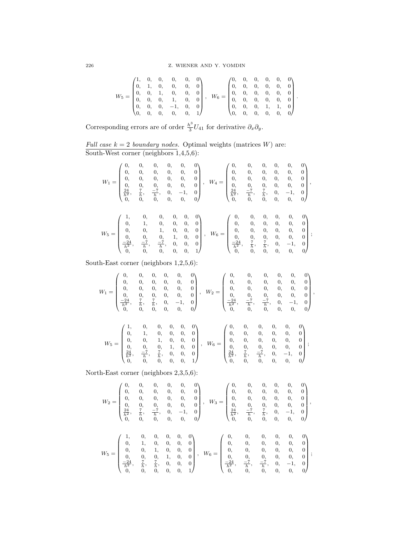|                                                                                                                  |  | (1, 0, 0, 0, 0, 0)                                          |  |         |  | (0, 0, 0, 0, 0, 0)                                         |                                                                                            |  |
|------------------------------------------------------------------------------------------------------------------|--|-------------------------------------------------------------|--|---------|--|------------------------------------------------------------|--------------------------------------------------------------------------------------------|--|
|                                                                                                                  |  | $\begin{bmatrix} 0, 1, 0, 0, 0, 0 \end{bmatrix}$            |  |         |  | $\begin{bmatrix} 0, & 0, & 0, & 0, & 0, & 0 \end{bmatrix}$ |                                                                                            |  |
|                                                                                                                  |  |                                                             |  | $W_6 =$ |  |                                                            |                                                                                            |  |
| $W_5 = \left[ \begin{array}{cccc} 0, & 0, & 1, & 0, & 0, & 0 \\ 0, & 0, & 0, & 1, & 0, & 0 \end{array} \right],$ |  |                                                             |  |         |  |                                                            | $\begin{bmatrix} 0, & 0, & 0, & 0, & 0, & 0 \\ 0, & 0, & 0, & 0, & 0, & 0 \end{bmatrix}$ . |  |
|                                                                                                                  |  | $\begin{bmatrix} 0, & 0, & 0, & -1, & 0, & 0 \end{bmatrix}$ |  |         |  | [0, 0, 0, 1, 1, 0]                                         |                                                                                            |  |
|                                                                                                                  |  | (0, 0, 0, 0, 0, 1)                                          |  |         |  | (0, 0, 0, 0, 0, 0)                                         |                                                                                            |  |

Corresponding errors are of order  $\frac{h^3}{3}U_{41}$  for derivative  $\partial_x \partial_y$ .

*Full case*  $k = 2$  *boundary nodes.* Optimal weights (matrices  $W$ ) are: South-West corner (neighbors 1,4,5,6):

| $\left(\begin{array}{cccccc} 1, & 0, & 0, & 0, & 0, & 0 \\ 0, & 1, & 0, & 0, & 0, & 0 \\ 0, & 0, & 1, & 0, & 0, & 0 \end{array}\right).$ | 0, | $0, 0, 0 \setminus$ |  | $\left(\begin{array}{cccccc} 0, & 0, & 0, & 0, & 0, & 0 \\ 0, & 0, & 0, & 0, & 0, & 0 \\ 0, & 0, & 0, & 0, & 0, & 0 \end{array}\right)$ |  |  |  |
|------------------------------------------------------------------------------------------------------------------------------------------|----|---------------------|--|-----------------------------------------------------------------------------------------------------------------------------------------|--|--|--|

$$
W_5 = \begin{bmatrix} 0, & 0, & 1, & 0, & 0, & 0 \\ 0, & 0, & 1, & 0, & 0, & 0 \\ 0, & 0, & 0, & 1, & 0, & 0 \\ \frac{-24}{h^2}, & \frac{-7}{h}, & \frac{-7}{h}, & 0, & 0, & 0 \end{bmatrix}, W_6 = \begin{bmatrix} 0, & 0, & 0, & 0, & 0, & 0 \\ 0, & 0, & 0, & 0, & 0, & 0 \\ 0, & 0, & 0, & 0, & 0, & 0 \\ \frac{-24}{h^2}, & \frac{7}{h}, & \frac{7}{h}, & 0, & -1, & 0 \\ 0, & 0, & 0, & 0, & 0, & 0 \end{bmatrix};
$$

South-East corner (neighbors 1,2,5,6):

$$
W_1 = \begin{pmatrix} 0, & 0, & 0, & 0, & 0, & 0 \\ 0, & 0, & 0, & 0, & 0, & 0 \\ 0, & 0, & 0, & 0, & 0, & 0 \\ \frac{-24}{h^2}, & \frac{7}{h}, & \frac{7}{h}, & 0, & -1, & 0 \\ 0, & 0, & 0, & 0, & 0, & 0 \end{pmatrix}, W_2 = \begin{pmatrix} 0, & 0, & 0, & 0, & 0, & 0 \\ 0, & 0, & 0, & 0, & 0, & 0 \\ 0, & 0, & 0, & 0, & 0, & 0 \\ \frac{-24}{h^2}, & \frac{-7}{h}, & \frac{7}{h}, & 0, & -1, & 0 \\ 0, & 0, & 0, & 0, & 0 \end{pmatrix}, W_3 = \begin{pmatrix} 0, & 0, & 0, & 0, & 0, & 0 \\ 0, & 0, & 0, & 0, & 0, & 0 \\ \frac{-24}{h^2}, & \frac{-7}{h}, & \frac{7}{h}, & 0, & -1, & 0 \\ 0, & 0, & 0, & 0, & 0, & 0 \\ 0, & 0, & 0, & 0, & 0, & 0 \\ \frac{24}{h^2}, & \frac{-7}{h}, & \frac{7}{h}, & 0, & 0, & 0 \end{pmatrix}, W_6 = \begin{pmatrix} 0, & 0, & 0, & 0, & 0, & 0 \\ 0, & 0, & 0, & 0, & 0, & 0 \\ 0, & 0, & 0, & 0, & 0, & 0, & 0 \\ 0, & 0, & 0, & 0, & 0, & 0, & 0 \\ 0, & 0, & 0, & 0, & 0, & 0 \\ \frac{24}{h^2}, & \frac{7}{h}, & \frac{7}{h}, & 0, & -1, & 0 \\ 0, & 0, & 0, & 0, & 0, & 0 \end{pmatrix};
$$

North-East corner (neighbors 2,3,5,6):

*W*<sup>2</sup> = 0*,* 0*,* 0*,* 0*,* 0*,* 0 0*,* 0*,* 0*,* 0*,* 0*,* 0 0*,* 0*,* 0*,* 0*,* 0*,* 0 0*,* 0*,* 0*,* 0*,* 0*,* 0 24 <sup>h</sup><sup>2</sup> *,* <sup>7</sup> <sup>h</sup> *, <sup>−</sup>*<sup>7</sup> <sup>h</sup> *,* 0*,* −1*,* 0 0*,* 0*,* 0*,* 0*,* 0*,* 0 *, W*<sup>3</sup> = 0*,* 0*,* 0*,* 0*,* 0*,* 0 0*,* 0*,* 0*,* 0*,* 0*,* 0 0*,* 0*,* 0*,* 0*,* 0*,* 0 0*,* 0*,* 0*,* 0*,* 0*,* 0 24 <sup>h</sup><sup>2</sup> *, <sup>−</sup>*<sup>7</sup> <sup>h</sup> *,* <sup>7</sup> <sup>h</sup> *,* 0*,* −1*,* 0 0*,* 0*,* 0*,* 0*,* 0*,* 0 *, W*<sup>5</sup> = 1*,* 0*,* 0*,* 0*,* 0*,* 0 0*,* 1*,* 0*,* 0*,* 0*,* 0 0*,* 0*,* 1*,* 0*,* 0*,* 0 0*,* 0*,* 0*,* 1*,* 0*,* 0 *−*24 <sup>h</sup><sup>2</sup> *,* <sup>7</sup> <sup>h</sup> *,* <sup>7</sup> <sup>h</sup> *,* 0*,* 0*,* 0 0*,* 0*,* 0*,* 0*,* 0*,* 1 *, W*<sup>6</sup> = 0*,* 0*,* 0*,* 0*,* 0*,* 0 0*,* 0*,* 0*,* 0*,* 0*,* 0 0*,* 0*,* 0*,* 0*,* 0*,* 0 0*,* 0*,* 0*,* 0*,* 0*,* 0 *−*24 <sup>h</sup><sup>2</sup> *, <sup>−</sup>*<sup>7</sup> <sup>h</sup> *, <sup>−</sup>*<sup>7</sup> <sup>h</sup> *,* 0*,* −1*,* 0 0*,* 0*,* 0*,* 0*,* 0*,* 0 ;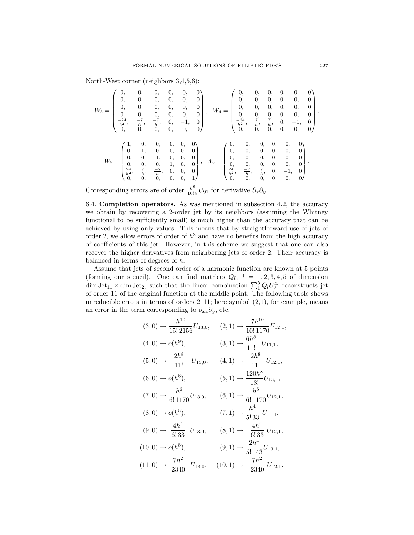North-West corner (neighbors 3,4,5,6):

*W*<sup>3</sup> = 0*,* 0*,* 0*,* 0*,* 0*,* 0 0*,* 0*,* 0*,* 0*,* 0*,* 0 0*,* 0*,* 0*,* 0*,* 0*,* 0 0*,* 0*,* 0*,* 0*,* 0*,* 0 *−*24 <sup>h</sup><sup>2</sup> *, <sup>−</sup>*<sup>7</sup> <sup>h</sup> *, <sup>−</sup>*<sup>7</sup> <sup>h</sup> *,* 0*,* −1*,* 0 0*,* 0*,* 0*,* 0*,* 0*,* 0 *, W*<sup>4</sup> = 0*,* 0*,* 0*,* 0*,* 0*,* 0 0*,* 0*,* 0*,* 0*,* 0*,* 0 0*,* 0*,* 0*,* 0*,* 0*,* 0 0*,* 0*,* 0*,* 0*,* 0*,* 0 *−*24 <sup>h</sup><sup>2</sup> *,* <sup>7</sup> <sup>h</sup> *,* <sup>7</sup> <sup>h</sup> *,* 0*,* −1*,* 0 0*,* 0*,* 0*,* 0*,* 0*,* 0 *, W*<sup>5</sup> = 1*,* 0*,* 0*,* 0*,* 0*,* 0 0*,* 1*,* 0*,* 0*,* 0*,* 0 0*,* 0*,* 1*,* 0*,* 0*,* 0 0*,* 0*,* 0*,* 1*,* 0*,* 0 24 <sup>h</sup><sup>2</sup> *,* <sup>7</sup> <sup>h</sup> *, <sup>−</sup>*<sup>7</sup> <sup>h</sup> *,* 0*,* 0*,* 0 0*,* 0*,* 0*,* 0*,* 0*,* 1 *, W*<sup>6</sup> = 0*,* 0*,* 0*,* 0*,* 0*,* 0 0*,* 0*,* 0*,* 0*,* 0*,* 0 0*,* 0*,* 0*,* 0*,* 0*,* 0 0*,* 0*,* 0*,* 0*,* 0*,* 0 24 <sup>h</sup><sup>2</sup> *, <sup>−</sup>*<sup>7</sup> <sup>h</sup> *,* <sup>7</sup> <sup>h</sup> *,* 0*,* −1*,* 0 0*,* 0*,* 0*,* 0*,* 0*,* 0 *.*

Corresponding errors are of order  $\frac{h^8}{10!8}U_{91}$  for derivative  $\partial_x\partial_y$ .

6.4. **Completion operators.** As was mentioned in subsection 4.2, the accuracy we obtain by recovering a 2-order jet by its neighbors (assuming the Whitney functional to be sufficiently small) is much higher than the accuracy that can be achieved by using only values. This means that by straightforward use of jets of order 2, we allow errors of order of  $h^3$  and have no benefits from the high accuracy of coefficients of this jet. However, in this scheme we suggest that one can also recover the higher derivatives from neighboring jets of order 2. Their accuracy is balanced in terms of degrees of h.

Assume that jets of second order of a harmonic function are known at 5 points (forming our stencil). One can find matrices  $Q_l$ ,  $l = 1, 2, 3, 4, 5$  of dimension dim Jet<sub>11</sub>  $\times$  dim Jet<sub>2</sub>, such that the linear combination  $\sum_{1}^{5} Q_l U_2^{z_l}$  reconstructs jet of order 11 of the original function at the middle point. The following table shows unreducible errors in terms of orders  $2-11$ ; here symbol  $(2,1)$ , for example, means an error in the term corresponding to  $\partial_{xx}\partial_y$ , etc.

$$
(3,0) \rightarrow \frac{h^{10}}{15!2156} U_{13,0}, \quad (2,1) \rightarrow \frac{7h^{10}}{10!1170} U_{12,1},
$$
  
\n
$$
(4,0) \rightarrow o(h^9), \quad (3,1) \rightarrow \frac{6h^8}{11!} U_{11,1},
$$
  
\n
$$
(5,0) \rightarrow \frac{2h^8}{11!} U_{13,0}, \quad (4,1) \rightarrow \frac{2h^8}{11!} U_{12,1},
$$
  
\n
$$
(6,0) \rightarrow o(h^8), \quad (5,1) \rightarrow \frac{120h^8}{13!} U_{13,1},
$$
  
\n
$$
(7,0) \rightarrow \frac{h^6}{6!1170} U_{13,0}, \quad (6,1) \rightarrow \frac{h^6}{6!1170} U_{12,1},
$$
  
\n
$$
(8,0) \rightarrow o(h^5), \quad (7,1) \rightarrow \frac{h^4}{5!33} U_{11,1},
$$
  
\n
$$
(9,0) \rightarrow \frac{4h^4}{6!33} U_{13,0}, \quad (8,1) \rightarrow \frac{4h^4}{6!33} U_{12,1},
$$
  
\n
$$
(10,0) \rightarrow o(h^5), \quad (9,1) \rightarrow \frac{2h^4}{5!143} U_{13,1},
$$
  
\n
$$
(11,0) \rightarrow \frac{7h^2}{2340} U_{13,0}, \quad (10,1) \rightarrow \frac{7h^2}{2340} U_{12,1}.
$$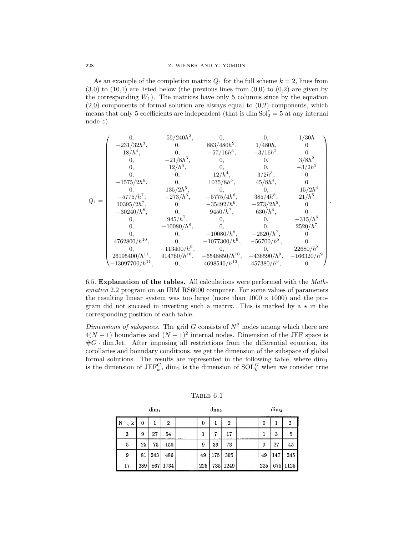As an example of the completion matrix  $Q_1$  for the full scheme  $k = 2$ , lines from  $(3,0)$  to  $(10,1)$  are listed below (the previous lines from  $(0,0)$  to  $(0,2)$  are given by the corresponding  $W_1$ ). The matrices have only 5 columns since by the equation  $(2,0)$  components of formal solution are always equal to  $(0,2)$  components, which means that only 5 coefficients are independent (that is  $\dim Sol_2^z = 5$  at any internal node z).

|         |                      | $-59/240h^2$ ,    |                     |                  | 1/30h           |
|---------|----------------------|-------------------|---------------------|------------------|-----------------|
|         | $-231/32h^3$ ,       | 0.                | $883/480h^2$ ,      | 1/480h,          |                 |
|         | $18/h^4$ ,           | $\overline{0}$ ,  | $-57/16h^{3}$ ,     | $-3/16h^2$ ,     |                 |
|         |                      | $-21/8h^3$ ,      |                     |                  | $3/8h^2$        |
|         |                      | $12/h^4$ ,        |                     | $\theta$ .       | $-3/2h^3$       |
|         |                      | 0.                | $12/h^4$ ,          | $3/2h^3$ ,       |                 |
|         | $-1575/2h^6$ ,       | $\overline{0}$ ,  | $1035/8h^5$ ,       | $45/8h^4$ ,      |                 |
|         |                      | $135/2h^5$ ,      |                     | 0,               | $-15/2h^4$      |
| $Q_1 =$ | $-5775/h^7$ ,        | $-273/h^6$ ,      | $-5775/4h^6$ ,      | $385/4h^5$ ,     | $21/h^5$        |
|         | $10395/2h^{7}$ ,     | 0,                | $-35492/h^6$ ,      | $-273/2h^5$ ,    |                 |
|         | $-30240/h^8$ ,       | 0,                | $9450/h^7$ ,        | $630/h^6$ ,      |                 |
|         |                      | $945/h^7$ ,       | 0,                  | $\overline{0}$ . | $-315/h^6$      |
|         | 0.                   | $-10080/h^8$ ,    | $\overline{0}$ .    | 0,               | $2520/h^7$      |
|         |                      | 0.                | $-10080/h^8$ ,      | $-2520/h^7$ ,    |                 |
|         | $4762800/h^{10}$ ,   | 0,                | $-1077300/h^9$ ,    | $-56700/h^8$ ,   |                 |
|         |                      | $-113400/h^9$ ,   | 0,                  | 0,               | $22680/h^8$     |
|         | $26195400/h^{11}$ ,  | $914760/h^{10}$ , | $-6548850/h^{10}$ , | $-436590/h^9$ ,  | $-166320/h^{9}$ |
|         | $-13097700/h^{11}$ , | 0,                | $4698540/h^{10}$ ,  | $457380/h^9$ ,   |                 |

*.*

6.5. **Explanation of the tables.** All calculations were performed with the *Mathematica* 2.2 program on an IBM RS6000 computer. For some values of parameters the resulting linear system was too large (more than 1000 *×* 1000) and the program did not succeed in inverting such a matrix. This is marked by  $a \star in$  the corresponding position of each table.

*Dimensions of subspaces.* The grid G consists of  $N^2$  nodes among which there are  $4(N-1)$  boundaries and  $(N-1)^2$  internal nodes. Dimension of the JEF space is  $\#G \cdot \dim \text{Jet.}$  After imposing all restrictions from the differential equation, its corollaries and boundary conditions, we get the dimension of the subspace of global formal solutions. The results are represented in the following table, where  $\dim_1$ is the dimension of  $JEF_k^G$ , dim<sub>2</sub> is the dimension of  $SOL_k^G$  when we consider true

| $dim_1$ |     |     |                |  | dim <sub>2</sub> |     |          |  | dim <sub>3</sub> |     |          |
|---------|-----|-----|----------------|--|------------------|-----|----------|--|------------------|-----|----------|
| N<br>k  | 0   | ı   | $\overline{2}$ |  | 0                | ı   | 2        |  | 0                |     | 2        |
| 3       | 9   | 27  | 54             |  |                  | 7   | 17       |  |                  | 3   | 5        |
| 5       | 25  | 75  | 150            |  | 9                | 39  | 73       |  | 9                | 27  | 45       |
| 9       | 81  | 243 | 486            |  | 49               | 175 | 305      |  | 49               | 147 | 245      |
| 17      | 289 |     | 867 1734       |  | 225              |     | 735 1249 |  | 225              |     | 675 1125 |

TABLE  $6.1$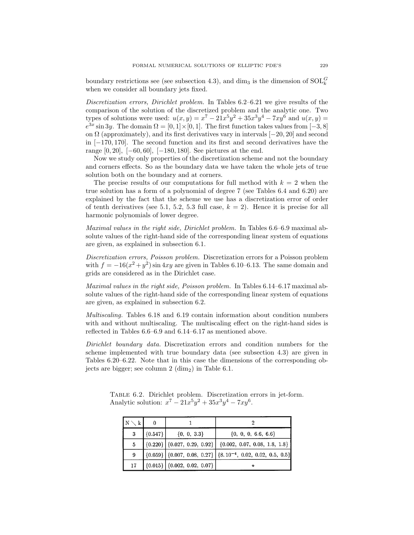boundary restrictions see (see subsection 4.3), and dim<sub>3</sub> is the dimension of  $SOL_{k}^{G}$ when we consider all boundary jets fixed.

*Discretization errors, Dirichlet problem.* In Tables 6.2–6.21 we give results of the comparison of the solution of the discretized problem and the analytic one. Two types of solutions were used:  $u(x, y) = x^7 - 21x^5y^2 + 35x^3y^4 - 7xy^6$  and  $u(x, y) =$  $e^{3x}$  sin 3y. The domain  $\Omega = [0, 1] \times [0, 1]$ . The first function takes values from [*−*3,8] on Ω (approximately), and its first derivatives vary in intervals [*−*20, 20] and second in [*−*170, 170]. The second function and its first and second derivatives have the range [0, 20], [*−*60, 60], [*−*180, 180]. See pictures at the end.

Now we study only properties of the discretization scheme and not the boundary and corners effects. So as the boundary data we have taken the whole jets of true solution both on the boundary and at corners.

The precise results of our computations for full method with  $k = 2$  when the true solution has a form of a polynomial of degree 7 (see Tables 6.4 and 6.20) are explained by the fact that the scheme we use has a discretization error of order of tenth derivatives (see 5.1, 5.2, 5.3 full case,  $k = 2$ ). Hence it is precise for all harmonic polynomials of lower degree.

*Maximal values in the right side, Dirichlet problem.* In Tables 6.6–6.9 maximal absolute values of the right-hand side of the corresponding linear system of equations are given, as explained in subsection 6.1.

*Discretization errors, Poisson problem.* Discretization errors for a Poisson problem with  $f = -16(x^2 + y^2) \sin 4xy$  are given in Tables 6.10–6.13. The same domain and grids are considered as in the Dirichlet case.

*Maximal values in the right side, Poisson problem.* In Tables 6.14–6.17 maximal absolute values of the right-hand side of the corresponding linear system of equations are given, as explained in subsection 6.2.

*Multiscaling.* Tables 6.18 and 6.19 contain information about condition numbers with and without multiscaling. The multiscaling effect on the right-hand sides is reflected in Tables 6.6–6.9 and 6.14–6.17 as mentioned above.

*Dirichlet boundary data.* Discretization errors and condition numbers for the scheme implemented with true boundary data (see subsection 4.3) are given in Tables 6.20–6.22. Note that in this case the dimensions of the corresponding objects are bigger; see column  $2 \text{ (dim}_2)$  in Table 6.1.

Table 6.2. Dirichlet problem. Discretization errors in jet-form. Analytic solution:  $x^7 - 21x^5y^2 + 35x^3y^4 - 7xy^6$ .

| $N \setminus k$ |           |                                 |                                                                                                          |
|-----------------|-----------|---------------------------------|----------------------------------------------------------------------------------------------------------|
| 3               | ${0.547}$ | $\{0, 0, 3.3\}$                 | $\{0, 0, 0, 6.6, 6.6\}$                                                                                  |
| 5               |           |                                 | $\left[ \{0.220\} \right] \{0.027, 0.29, 0.92\} \left[ \{0.002, 0.07, 0.08, 1.8, 1.8\} \right]$          |
| 9               |           |                                 | $\left[\{0.059\}\right]\left\{0.007, 0.08, 0.27\right\}\left[\{8.10^{-4}, 0.02, 0.02, 0.5, 0.5\}\right]$ |
|                 |           | $\{0.015\}$ {0.002, 0.02, 0.07} |                                                                                                          |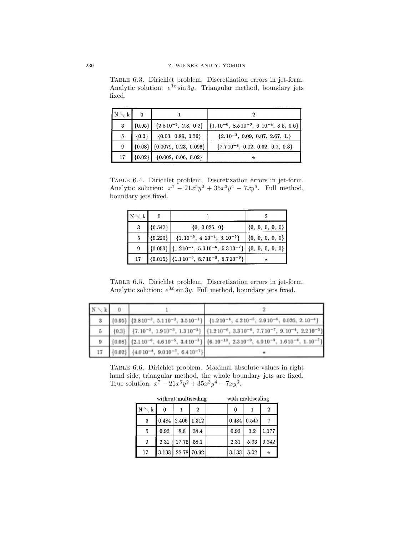| $ N \setminus k $ |         |                                |                                                                                        |
|-------------------|---------|--------------------------------|----------------------------------------------------------------------------------------|
| 3                 |         |                                | $\{0.95\}$ $\{2.810^{-3}, 2.8, 0.2\}$ $\{1.10^{-6}, 8.510^{-3}, 6.10^{-4}, 8.5, 0.6\}$ |
| 5                 | ${0.3}$ | $\{0.03, 0.89, 0.36\}$         | ${2.10^{-3}, 0.09, 0.07, 2.67, 1.}$                                                    |
| 9                 |         | $(0.08)$ {0.0079, 0.23, 0.096} | $\{7.710^{-4}, 0.02, 0.02, 0.7, 0.3\}$                                                 |
|                   |         | $\{0.02\}$ {0.002, 0.06, 0.02} |                                                                                        |

Table 6.3. Dirichlet problem. Discretization errors in jet-form. Analytic solution:  $e^{3x} \sin 3y$ . Triangular method, boundary jets fixed.

Table 6.4. Dirichlet problem. Discretization errors in jet-form. Analytic solution:  $x^7 - 21x^5y^2 + 35x^3y^4 - 7xy^6$ . Full method, boundary jets fixed.

| $\lfloor N \setminus k \rfloor$ |         |                                                                                                              |                     |
|---------------------------------|---------|--------------------------------------------------------------------------------------------------------------|---------------------|
| 3 <sup>1</sup>                  | (0.547) | $\{0, 0.026, 0\}$                                                                                            | $\{0, 0, 0, 0, 0\}$ |
|                                 |         | $\{0.220\}$ $\{1.10^{-5}, 4.10^{-4}, 3.10^{-5}\}$                                                            | $\{0, 0, 0, 0, 0\}$ |
|                                 |         | $\left[\{0.059\}\right]\left\{1.210^{-7}, 5.610^{-6}, 5.310^{-7}\right\}\right]\left\{0, 0, 0, 0, 0\right\}$ |                     |
| 17 <sub>1</sub>                 |         | $\left[ \{0.015\} \right] \{1.110^{-9}, 8.710^{-8}, 8.710^{-9} \}$                                           |                     |

Table 6.5. Dirichlet problem. Discretization errors in jet-form. Analytic solution:  $e^{3x} \sin 3y$ . Full method, boundary jets fixed.

| $\mathbb{N}\smallsetminus\mathbb{k}$ |                                                        |                                                                                                                                                  |
|--------------------------------------|--------------------------------------------------------|--------------------------------------------------------------------------------------------------------------------------------------------------|
|                                      |                                                        | 3 $[0.95]$ $\{2.810^{-3}, 5.110^{-2}, 3.510^{-3}\}$ $\{1.210^{-6}, 4.210^{-5}, 2.910^{-4}, 0.026, 2.10^{-4}\}$                                   |
|                                      |                                                        | $5\begin{bmatrix} \{0.3\} \end{bmatrix}$ $\{7.10^{-5}, 1.910^{-3}, 1.310^{-1}\}$ $\{1.210^{-6}, 3.310^{-4}, 7.710^{-7}, 9.10^{-4}, 2.210^{-5}\}$ |
|                                      |                                                        | 9 $(0.08)$ $(2.110^{-6}, 4.610^{-5}, 3.410^{-5})$ $(6.10^{-10}, 2.310^{-9}, 4.910^{-9}, 1.610^{-6}, 1.10^{-7})$                                  |
|                                      | 17 $\{0.02\}$ $\{4.010^{-8}, 9.010^{-7}, 6.410^{-7}\}$ |                                                                                                                                                  |

Table 6.6. Dirichlet problem. Maximal absolute values in right hand side, triangular method, the whole boundary jets are fixed. True solution:  $x^7 - 21x^5y^2 + 35x^3y^4 - 7xy^6$ .

|        | without multiscaling |       |             | with multiscaling |       |            |
|--------|----------------------|-------|-------------|-------------------|-------|------------|
| k<br>N | 0                    |       | 2           | 0                 |       | 2          |
| 3      | 0.484                | 2.406 | 1.312       | 0.484             | 0.547 | 7.         |
| 5      | 0.92                 | 8.8   | 34.4        | 0.92              | 3.2   | 1.177      |
| 9      | 2.31                 | 17.75 | 58.1        | 2.31              | 5.03  | 0.242      |
| 17     | 3.133                |       | 22.78 70.92 | 3.133             | 5.02  | $^{\star}$ |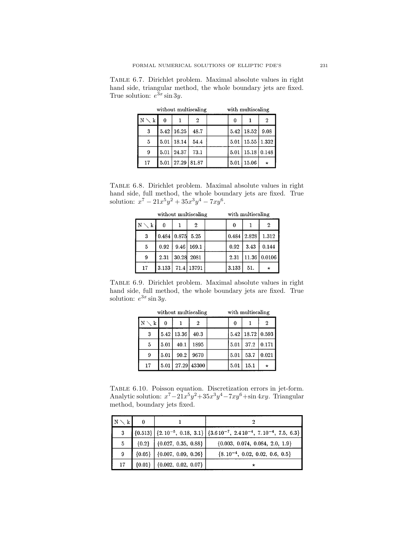Table 6.7. Dirichlet problem. Maximal absolute values in right hand side, triangular method, the whole boundary jets are fixed. True solution:  $e^{3x} \sin 3y$ .

|                                    |   | without multiscaling   | with multiscaling |      |                |                    |
|------------------------------------|---|------------------------|-------------------|------|----------------|--------------------|
| $\mathrm{N}\setminus \mathrm{k}$ ) | 0 |                        | $\mathbf 2$       | O    |                | $\overline{2}$     |
| 3                                  |   | $5.42$   16.25         | 48.7              |      | $5.42$   18.52 | 9.08               |
| 5                                  |   | $5.01$   18.14         | 54.4              | 5.01 |                | 15.55 1.332        |
| 9                                  |   | $5.01 \mid 24.37$      | 73.1              | 5.01 |                | $15.18 \mid 0.148$ |
| 17                                 |   | $5.01$   27.29   81.87 |                   | 5.01 | 15.06          | $^\star$           |

Table 6.8. Dirichlet problem. Maximal absolute values in right hand side, full method, the whole boundary jets are fixed. True solution:  $x^7 - 21x^5y^2 + 35x^3y^4 - 7xy^6$ .

|                 |                      |       | without multiscaling | with multiscaling |      |                |  |
|-----------------|----------------------|-------|----------------------|-------------------|------|----------------|--|
| $N \setminus k$ | 0                    |       | $\mathbf{2}$         |                   |      | $\mathbf{2}$   |  |
| 3               | 0.484   0.875   5.25 |       |                      | $0.484$   2.828   |      | 1.312          |  |
| 5               | 0.92                 | 9.46  | 169.1                | 0.92              | 3.43 | 0.144          |  |
| 9               | 2.31                 | 30.28 | 2081                 | 2.31              |      | 11.36   0.0106 |  |
| 17              | 3.133                |       | 71.4 13791           | 3.133             | 51.  | $^\star$       |  |

Table 6.9. Dirichlet problem. Maximal absolute values in right hand side, full method, the whole boundary jets are fixed. True solution:  $e^{3x} \sin 3y$ .

|                                                   |      |                | without multiscaling | with multiscaling |      |      |                        |
|---------------------------------------------------|------|----------------|----------------------|-------------------|------|------|------------------------|
| $\mathcal{N} \mathbf{k}$<br>$\mathbf{N}^{\times}$ | 0    |                | $\mathbf{2}$         |                   | 0    |      | 2                      |
| 3                                                 |      | $5.42$   13.36 | 40.3                 |                   |      |      | $5.42$   18.72   0.593 |
| 5                                                 | 5.01 | 40.1           | 1895                 |                   | 5.01 | 37.2 | 0.171                  |
| 9                                                 | 5.01 | 90.2           | 9670                 |                   | 5.01 | 53.7 | 0.021                  |
| 17                                                | 5.01 | 27.29          | 43300                |                   | 5.01 | 15.1 | $^\star$               |

Table 6.10. Poisson equation. Discretization errors in jet-form. Analytic solution: x<sup>7</sup>*−*21x<sup>5</sup>y<sup>2</sup>+35x<sup>3</sup>y<sup>4</sup>*−*7xy<sup>6</sup>+sin 4xy. Triangular method, boundary jets fixed.

| $ N \setminus k $ |          |                                |                                                                                          |
|-------------------|----------|--------------------------------|------------------------------------------------------------------------------------------|
| 3                 |          |                                | $\{0.513\}$ $\{2.10^{-5}, 0.18, 3.1\}$ $\{3.610^{-7}, 2.410^{-4}, 7.10^{-4}, 7.5, 6.3\}$ |
| 5                 | ${0.2}$  | $\{0.027, 0.35, 0.88\}$        | $\{0.003, 0.074, 0.084, 2.0, 1.9\}$                                                      |
| 9                 |          | $\{0.05\}$ (0.007, 0.09, 0.26) | $\{8.10^{-4}, 0.02, 0.02, 0.6, 0.5\}$                                                    |
| 17                | ${0.01}$ | $\{0.002, 0.02, 0.07\}$        |                                                                                          |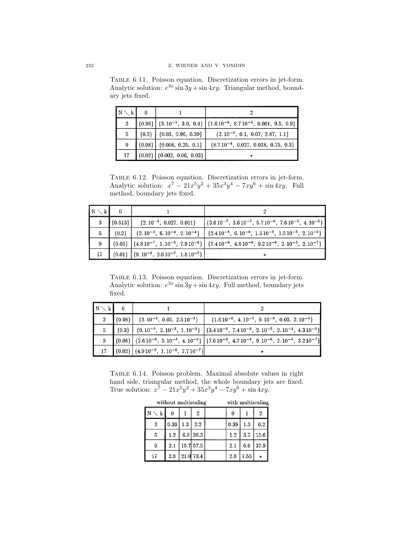| $ N \setminus k $ |                                    |                                                                                                                   |
|-------------------|------------------------------------|-------------------------------------------------------------------------------------------------------------------|
| 3                 |                                    | $\left[\{0.98\}\right] \left\{3.10^{-3}, 3.0, 0.4\right\} \left\{1.610^{-6}, 8.710^{-3}, 0.001, 9.5, 0.9\right\}$ |
| 5                 | $\{0.3\}$   $\{0.03, 0.96, 0.39\}$ | $\{2.10^{-3}, 0.1, 0.07, 2.87, 1.1\}$                                                                             |
|                   | $\{0.08\}$ {0.008, 0.25, 0.1}      | $\{8.7\,10^{-4},\ 0.027,\ 0.018,\ 0.75,\ 0.3\}$                                                                   |
|                   | $\{0.02\}$ {0.002, 0.06, 0.03}     |                                                                                                                   |

Table 6.11. Poisson equation. Discretization errors in jet-form. Analytic solution:  $e^{3x} \sin 3y + \sin 4xy$ . Triangular method, boundary jets fixed.

Table 6.12. Poisson equation. Discretization errors in jet-form. Analytic solution:  $x^7 - 21x^5y^2 + 35x^3y^4 - 7xy^6 + \sin 4xy$ . Full method, boundary jets fixed.

| $ N \setminus k $ |                                                    |                                                                                                                    |
|-------------------|----------------------------------------------------|--------------------------------------------------------------------------------------------------------------------|
| $\mathbf{3}$      | $\{0.513\}$ $\{2.10^{-5}, 0.027, 0.001\}$          | $\left[ \{3.6\,10^{-7},\; 3.6\,10^{-7},\; 5.7\,10^{-6},\; 7.6\,10^{-3},\; 4.10^{-5} \}\right]$                     |
|                   |                                                    | $\{0.2\}$   $\{2.10^{-5}, 6.10^{-4}, 2.10^{-4}\}$   $\{2.410^{-6}, 6.10^{-6}, 1.510^{-5}, 1.510^{-5}, 2.10^{-5}\}$ |
|                   |                                                    | $\{0.05\}$ $\{4.810^{-7}, 1.10^{-5}, 7.910^{-6}\}$ $\{7.410^{-9}, 4.810^{-8}, 9.210^{-8}, 2.10^{-5}, 2.10^{-7}\}$  |
|                   | $\{0.01\}$ $\{9.10^{-9}, 2.610^{-7}, 1.810^{-7}\}$ |                                                                                                                    |

Table 6.13. Poisson equation. Discretization errors in jet-form. Analytic solution:  $e^{3x} \sin 3y + \sin 4xy$ . Full method, boundary jets fixed.

| $\lfloor N \smallsetminus {\rm k} \rfloor$ |                                                                    |                                                                                                                                             |
|--------------------------------------------|--------------------------------------------------------------------|---------------------------------------------------------------------------------------------------------------------------------------------|
|                                            | 3 $\{0.98\}$ $\{3.10^{-3}, 0.05, 2.510^{-3}\}$                     | $\{1.6\,10^{-6},\; 4.10^{-5},\; 9.10^{-6},\; 0.03,\; 2.10^{-4}\}$                                                                           |
|                                            |                                                                    | $\left[ \{0.3\} \mid \{9.10^{-5},\ 2.10^{-3},\ 1.10^{-3}\} \right] \{3.4\ 10^{-6},\ 7.4\ 10^{-6},\ 2.10^{-5},\ 2.10^{-3},\ 4.3\ 10^{-5} \}$ |
|                                            |                                                                    | 9 $\{(0.08)\}\{(2.610^{-6}, 5.10^{-5}, 4.10^{-5})\}\{(7.610^{-9}, 4.710^{-8}, 9.10^{-8}, 2.10^{-5}, 3.210^{-7})\}$                          |
|                                            | $17 \{0.02\} \left[ \{4.910^{-8}, 1.10^{-6}, 7.710^{-7}\} \right]$ |                                                                                                                                             |

Table 6.14. Poisson problem. Maximal absolute values in right hand side, triangular method, the whole boundary jets are fixed. True solution:  $x^7 - 21x^5y^2 + 35x^3y^4 - 7xy^6 + \sin 4xy$ .

| without multiscaling          |      |                  |           |  |      |      | with multiscaling |
|-------------------------------|------|------------------|-----------|--|------|------|-------------------|
| IN `<br>$\diagdown\, {\bf k}$ | 0    |                  | 2         |  | 0    |      | 2                 |
| 3                             | 0.39 | 1.3              | 2.2       |  | 0.39 | 1.3  | 6.2               |
| 5                             | 1.2  | 6.8 <sub>1</sub> | 38.3      |  | 1.2  | 3.7  | 15.6              |
| 9                             | 2.1  |                  | 15.7 57.5 |  | 2.1  | 6.6  | 37.9              |
| 17                            | 2.8  |                  | 21.0 73.4 |  | 2.8  | 7.55 | $^\star$          |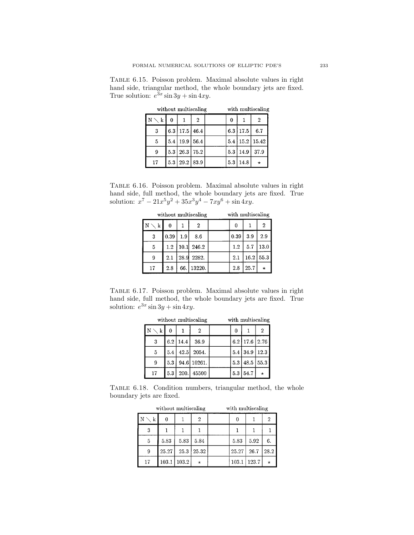Table 6.15. Poisson problem. Maximal absolute values in right hand side, triangular method, the whole boundary jets are fixed. True solution:  $e^{3x} \sin 3y + \sin 4xy$ .

| without multiscaling |     |              |      |  |     |              | with multiscaling |
|----------------------|-----|--------------|------|--|-----|--------------|-------------------|
| $N \setminus k$      | 0   |              | 2    |  | 0   |              | 2                 |
| 3                    |     | $6.3$   17.5 | 46.4 |  |     | $6.3$   17.5 | 6.7               |
| 5                    | 5.4 | 19.9         | 56.4 |  | 5.4 | 15.2         | 15.42             |
| 9                    | 5.3 | 26.3         | 75.2 |  | 5.3 | 14.9         | 37.9              |
| 17                   | 5.3 | 29.2         | 83.9 |  | 5.3 | 14.8         | ★                 |

Table 6.16. Poisson problem. Maximal absolute values in right hand side, full method, the whole boundary jets are fixed. True solution:  $x^7 - 21x^5y^2 + 35x^3y^4 - 7xy^6 + \sin 4xy$ .

| without multiscaling |      |      |              |  | with multiscaling |      |                  |
|----------------------|------|------|--------------|--|-------------------|------|------------------|
| k<br>N               | 0    |      | $\mathbf{2}$ |  | 0                 |      | $\boldsymbol{2}$ |
| -3                   | 0.39 | 1.9  | 8.6          |  | 0.39              | 3.9  | 2.9              |
| 5                    | 1.2  | 10.1 | 246.2        |  | 1.2               | 5.7  | 13.0             |
| 9                    | 2.1  | 28.9 | 2282.        |  | 2.1               |      | $16.2$   55.3    |
| 17                   | 2.8  | 66.  | 13220.       |  | 2.8               | 25.7 | $\star$          |

Table 6.17. Poisson problem. Maximal absolute values in right hand side, full method, the whole boundary jets are fixed. True solution:  $e^{3x} \sin 3y + \sin 4xy$ .

| without multiscaling |                  |      |               |  |     | with multiscaling |                |
|----------------------|------------------|------|---------------|--|-----|-------------------|----------------|
| $N \setminus k$      | $\bf{0}$         |      | $\mathbf 2$   |  | 0   |                   | $\overline{2}$ |
| 3                    | 6.2 <sub>1</sub> | 14.4 | 36.9          |  |     | $6.2$ 17.6        | 12.76          |
| 5                    | 5.4              | 42.5 | 2054.         |  | 5.4 | 34.9              | 12.3           |
| 9                    | 5.3              |      | $94.6$ 10261. |  | 5.3 | 48.5              | 55.3           |
| 17                   | 5.3              | 200. | 45500         |  | 5.3 | 54.7              | $\star$        |

TABLE 6.18. Condition numbers, triangular method, the whole boundary jets are fixed.

| without multiscaling          |       |       |         | with multiscaling |       |                |
|-------------------------------|-------|-------|---------|-------------------|-------|----------------|
| $\mathcal{N} \mathbf{k}$<br>N |       |       | 2       |                   |       | $\overline{2}$ |
| 3                             |       |       |         |                   |       |                |
| 5                             | 5.83  | 5.83  | 5.84    | 5.83              | 5.92  | 6.             |
| 9                             | 25.27 | 25.3  | 25.32   | 25.27             | 26.7  | 28.2           |
| 17                            | 103.1 | 103.2 | $\star$ | 103.1             | 123.7 | $^\star$       |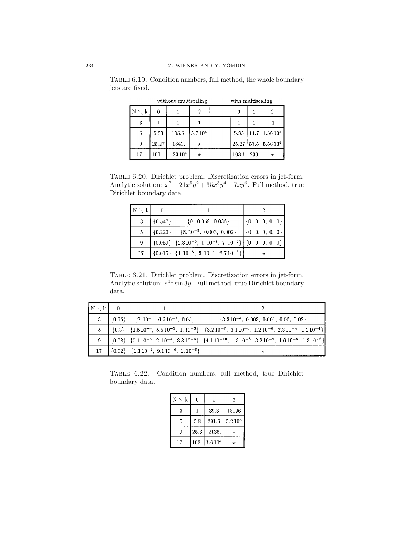| without multiscaling |       |                | with multiscaling |       |     |                          |
|----------------------|-------|----------------|-------------------|-------|-----|--------------------------|
| k<br>N               |       |                | 2                 |       |     | $\boldsymbol{2}$         |
| 3                    |       |                |                   |       |     |                          |
| 5                    | 5.83  | 105.5          | $3.710^{6}$       | 5.83  |     | $14.7 \mid 1.56 \, 10^4$ |
| 9                    | 25.27 | 1341.          |                   |       |     | 25.27 57.5 5.56 104      |
| 17                   | 103.1 | $1.23\,10^{4}$ | $^\star$          | 103.1 | 230 | ★                        |

TABLE 6.19. Condition numbers, full method, the whole boundary jets are fixed.

Table 6.20. Dirichlet problem. Discretization errors in jet-form. Analytic solution:  $x^7 - 21x^5y^2 + 35x^3y^4 - 7xy^6$ . Full method, true Dirichlet boundary data.

| $ N \setminus k $ |           |                                                                  |                     |
|-------------------|-----------|------------------------------------------------------------------|---------------------|
|                   | ${0.547}$ | $\{0, 0.058, 0.036\}$                                            | $\{0, 0, 0, 0, 0\}$ |
| 5                 | ${0.220}$ | $\{8.10^{-5}, 0.003, 0.002\}$                                    | $\{0, 0, 0, 0, 0\}$ |
| 9                 |           | $(0.059)$ $(2.310^{-6}, 1.10^{-4}, 7.10^{-5})$ $(0, 0, 0, 0, 0)$ |                     |
|                   |           | ${0.015}$ $\{4.10^{-8}, 3.10^{-6}, 2.710^{-6}\}$                 |                     |

Table 6.21. Dirichlet problem. Discretization errors in jet-form. Analytic solution:  $e^{3x} \sin 3y$ . Full method, true Dirichlet boundary data.

| 、k |                                                                                |                                                                                                                                                     |
|----|--------------------------------------------------------------------------------|-----------------------------------------------------------------------------------------------------------------------------------------------------|
|    | $\left[ \, \{0.95\} \, \right] \quad \{2.10^{-3}, \; 6.7\,10^{-3}, \; 0.05 \}$ | $\{3.3\,10^{-4},\ 0.003,\ 0.001,\ 0.06,\ 0.02\}$                                                                                                    |
|    |                                                                                | $\left[ \{0.3\} \right] \{1.510^{-4}, 5.510^{-3}, 1.10^{-3} \}$ $\left[ \{3.210^{-7}, 3.110^{-6}, 1.210^{-6}, 2.310^{-4}, 1.210^{-4} \} \right]$    |
|    |                                                                                | $\left[\{0.08\}\right]\left\{5.110^{-6}, 2.10^{-4}, 3.810^{-5}\right\}\left[\{4.110^{-10}, 1.310^{-8}, 3.210^{-9}, 1.610^{-6}, 1.310^{-6}\}\right]$ |
|    | $17$ $\{0.02\}$ $\{1.110^{-7}, 9.110^{-6}, 1.10^{-6}\}$                        |                                                                                                                                                     |

Table 6.22. Condition numbers, full method, true Dirichlet boundary data.

| Ν<br>k | 0    |              | 2           |
|--------|------|--------------|-------------|
| 3      |      | 39.3         | 18196       |
| 5      | 5.8  | 291.6        | $5.210^{5}$ |
| 9      | 25.3 | 2136.        |             |
| 17     | 103. | $1.6 10^{4}$ |             |